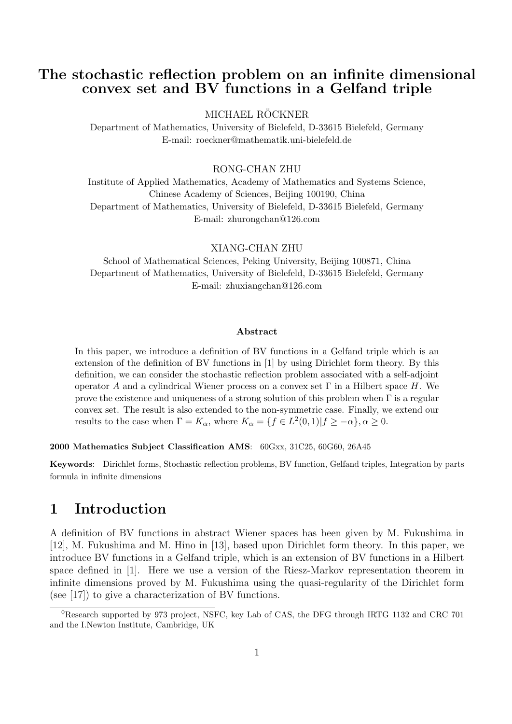## **The stochastic reflection problem on an infinite dimensional convex set and BV functions in a Gelfand triple**

MICHAEL RÖCKNER

Department of Mathematics, University of Bielefeld, D-33615 Bielefeld, Germany E-mail: roeckner@mathematik.uni-bielefeld.de

RONG-CHAN ZHU

Institute of Applied Mathematics, Academy of Mathematics and Systems Science, Chinese Academy of Sciences, Beijing 100190, China Department of Mathematics, University of Bielefeld, D-33615 Bielefeld, Germany E-mail: zhurongchan@126.com

XIANG-CHAN ZHU

School of Mathematical Sciences, Peking University, Beijing 100871, China Department of Mathematics, University of Bielefeld, D-33615 Bielefeld, Germany E-mail: zhuxiangchan@126.com

#### **Abstract**

In this paper, we introduce a definition of BV functions in a Gelfand triple which is an extension of the definition of BV functions in [1] by using Dirichlet form theory. By this definition, we can consider the stochastic reflection problem associated with a self-adjoint operator *A* and a cylindrical Wiener process on a convex set  $\Gamma$  in a Hilbert space *H*. We prove the existence and uniqueness of a strong solution of this problem when  $\Gamma$  is a regular convex set. The result is also extended to the non-symmetric case. Finally, we extend our results to the case when  $\Gamma = K_{\alpha}$ , where  $K_{\alpha} = \{f \in L^2(0,1) | f \geq -\alpha\}$ ,  $\alpha \geq 0$ .

**2000 Mathematics Subject Classification AMS**: 60Gxx, 31C25, 60G60, 26A45

**Keywords**: Dirichlet forms, Stochastic reflection problems, BV function, Gelfand triples, Integration by parts formula in infinite dimensions

## **1 Introduction**

A definition of BV functions in abstract Wiener spaces has been given by M. Fukushima in [12], M. Fukushima and M. Hino in [13], based upon Dirichlet form theory. In this paper, we introduce BV functions in a Gelfand triple, which is an extension of BV functions in a Hilbert space defined in [1]. Here we use a version of the Riesz-Markov representation theorem in infinite dimensions proved by M. Fukushima using the quasi-regularity of the Dirichlet form (see [17]) to give a characterization of BV functions.

<sup>0</sup>Research supported by 973 project, NSFC, key Lab of CAS, the DFG through IRTG 1132 and CRC 701 and the I.Newton Institute, Cambridge, UK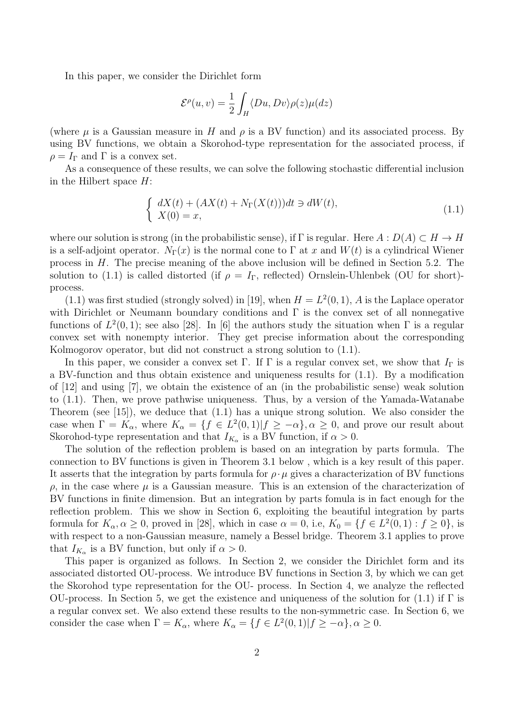In this paper, we consider the Dirichlet form

$$
\mathcal{E}^{\rho}(u,v) = \frac{1}{2} \int_{H} \langle Du, Dv \rangle \rho(z) \mu(dz)
$$

(where  $\mu$  is a Gaussian measure in *H* and  $\rho$  is a BV function) and its associated process. By using BV functions, we obtain a Skorohod-type representation for the associated process, if  $\rho = I_{\Gamma}$  and  $\Gamma$  is a convex set.

As a consequence of these results, we can solve the following stochastic differential inclusion in the Hilbert space *H*:

$$
\begin{cases}\n dX(t) + (AX(t) + N_{\Gamma}(X(t)))dt \ni dW(t), \\
 X(0) = x,\n\end{cases} \tag{1.1}
$$

where our solution is strong (in the probabilistic sense), if  $\Gamma$  is regular. Here  $A: D(A) \subset H \to H$ is a self-adjoint operator.  $N_{\Gamma}(x)$  is the normal cone to  $\Gamma$  at x and  $W(t)$  is a cylindrical Wiener process in *H*. The precise meaning of the above inclusion will be defined in Section 5.2. The solution to (1.1) is called distorted (if  $\rho = I_{\Gamma}$ , reflected) Ornslein-Uhlenbek (OU for short)process.

 $(1.1)$  was first studied (strongly solved) in [19], when  $H = L<sup>2</sup>(0, 1)$ , *A* is the Laplace operator with Dirichlet or Neumann boundary conditions and  $\Gamma$  is the convex set of all nonnegative functions of  $L^2(0,1)$ ; see also [28]. In [6] the authors study the situation when  $\Gamma$  is a regular convex set with nonempty interior. They get precise information about the corresponding Kolmogorov operator, but did not construct a strong solution to (1.1).

In this paper, we consider a convex set  $\Gamma$ . If  $\Gamma$  is a regular convex set, we show that  $I_{\Gamma}$  is a BV-function and thus obtain existence and uniqueness results for (1.1). By a modification of [12] and using [7], we obtain the existence of an (in the probabilistic sense) weak solution to (1.1). Then, we prove pathwise uniqueness. Thus, by a version of the Yamada-Watanabe Theorem (see [15]), we deduce that (1.1) has a unique strong solution. We also consider the case when  $\Gamma = K_{\alpha}$ , where  $K_{\alpha} = \{f \in L^2(0,1) | f \geq -\alpha\}$ ,  $\alpha \geq 0$ , and prove our result about Skorohod-type representation and that  $I_{K_{\alpha}}$  is a BV function, if  $\alpha > 0$ .

The solution of the reflection problem is based on an integration by parts formula. The connection to BV functions is given in Theorem 3.1 below , which is a key result of this paper. It asserts that the integration by parts formula for  $\rho \cdot \mu$  gives a characterization of BV functions  $\rho$ , in the case where  $\mu$  is a Gaussian measure. This is an extension of the characterization of BV functions in finite dimension. But an integration by parts fomula is in fact enough for the reflection problem. This we show in Section 6, exploiting the beautiful integration by parts formula for  $K_{\alpha}, \alpha \geq 0$ , proved in [28], which in case  $\alpha = 0$ , i.e,  $K_0 = \{f \in L^2(0,1) : f \geq 0\}$ , is with respect to a non-Gaussian measure, namely a Bessel bridge. Theorem 3.1 applies to prove that  $I_{K_\alpha}$  is a BV function, but only if  $\alpha > 0$ .

This paper is organized as follows. In Section 2, we consider the Dirichlet form and its associated distorted OU-process. We introduce BV functions in Section 3, by which we can get the Skorohod type representation for the OU- process. In Section 4, we analyze the reflected OU-process. In Section 5, we get the existence and uniqueness of the solution for (1.1) if  $\Gamma$  is a regular convex set. We also extend these results to the non-symmetric case. In Section 6, we consider the case when  $\Gamma = K_\alpha$ , where  $K_\alpha = \{f \in L^2(0,1) | f \geq -\alpha\}$ ,  $\alpha \geq 0$ .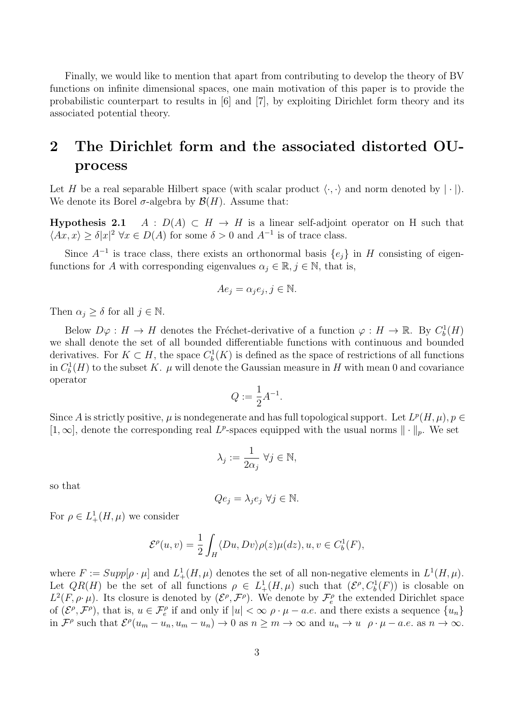Finally, we would like to mention that apart from contributing to develop the theory of BV functions on infinite dimensional spaces, one main motivation of this paper is to provide the probabilistic counterpart to results in [6] and [7], by exploiting Dirichlet form theory and its associated potential theory.

# **2 The Dirichlet form and the associated distorted OUprocess**

Let *H* be a real separable Hilbert space (with scalar product  $\langle \cdot, \cdot \rangle$  and norm denoted by  $|\cdot|$ ). We denote its Borel  $\sigma$ -algebra by  $\mathcal{B}(H)$ . Assume that:

**Hypothesis 2.1** *A* :  $D(A) \subset H \rightarrow H$  is a linear self-adjoint operator on H such that  $\langle Ax, x \rangle \geq \delta |x|^2 \,\forall x \in D(A)$  for some  $\delta > 0$  and  $A^{-1}$  is of trace class.

Since  $A^{-1}$  is trace class, there exists an orthonormal basis  $\{e_j\}$  in *H* consisting of eigenfunctions for *A* with corresponding eigenvalues  $\alpha_j \in \mathbb{R}, j \in \mathbb{N}$ , that is,

$$
Ae_j = \alpha_j e_j, j \in \mathbb{N}.
$$

Then  $\alpha_j \geq \delta$  for all  $j \in \mathbb{N}$ .

Below  $D\varphi : H \to H$  denotes the Fréchet-derivative of a function  $\varphi : H \to \mathbb{R}$ . By  $C_b^1(H)$ we shall denote the set of all bounded differentiable functions with continuous and bounded derivatives. For  $K \subset H$ , the space  $C_b^1(K)$  is defined as the space of restrictions of all functions in  $C_b^1(H)$  to the subset *K*.  $\mu$  will denote the Gaussian measure in *H* with mean 0 and covariance operator

$$
Q := \frac{1}{2}A^{-1}.
$$

Since *A* is strictly positive,  $\mu$  is nondegenerate and has full topological support. Let  $L^p(H, \mu)$ ,  $p \in$  $[1,\infty]$ , denote the corresponding real L<sup>p</sup>-spaces equipped with the usual norms  $\|\cdot\|_p$ . We set

$$
\lambda_j:=\frac{1}{2\alpha_j} \ \forall j\in\mathbb{N},
$$

so that

$$
Qe_j = \lambda_j e_j \,\,\forall j \in \mathbb{N}.
$$

For  $\rho \in L^1_+(H,\mu)$  we consider

$$
\mathcal{E}^{\rho}(u,v) = \frac{1}{2} \int_{H} \langle Du, Dv \rangle \rho(z) \mu(dz), u, v \in C_b^1(F),
$$

where  $F := Supp[\rho \cdot \mu]$  and  $L^1_+(H,\mu)$  denotes the set of all non-negative elements in  $L^1(H,\mu)$ . Let  $QR(H)$  be the set of all functions  $\rho \in L^1_+(H,\mu)$  such that  $(\mathcal{E}^{\rho}, C_b^1(F))$  is closable on  $L^2(F, \rho \cdot \mu)$ . Its closure is denoted by  $(\mathcal{E}^\rho, \mathcal{F}^\rho)$ . We denote by  $\mathcal{F}_e^\rho$  the extended Dirichlet space of  $(\mathcal{E}^{\rho}, \mathcal{F}^{\rho})$ , that is,  $u \in \mathcal{F}^{\rho}_{e}$  if and only if  $|u| < \infty$   $\rho \cdot \mu - a.e$  and there exists a sequence  $\{u_{n}\}\$ in  $\mathcal{F}^{\rho}$  such that  $\mathcal{E}^{\rho}(u_m - u_n, u_m - u_n) \to 0$  as  $n \geq m \to \infty$  and  $u_n \to u \quad \rho \cdot \mu - a.e.$  as  $n \to \infty$ .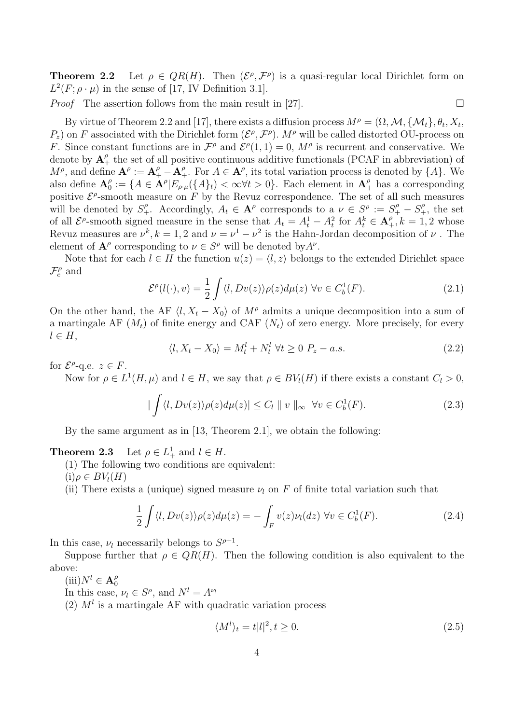**Theorem 2.2** Let  $\rho \in QR(H)$ . Then  $(\mathcal{E}^{\rho}, \mathcal{F}^{\rho})$  is a quasi-regular local Dirichlet form on  $L^2(F; \rho \cdot \mu)$  in the sense of [17, IV Definition 3.1].

*Proof* The assertion follows from the main result in [27].

By virtue of Theorem 2.2 and [17], there exists a diffusion process  $M^{\rho} = (\Omega, \mathcal{M}, \{\mathcal{M}_t\}, \theta_t, X_t, \mathcal{M}_t)$  $P_z$ ) on *F* associated with the Dirichlet form  $(\mathcal{E}^{\rho}, \mathcal{F}^{\rho})$ *. M<sup>ρ</sup>* will be called distorted OU-process on *F*. Since constant functions are in  $\mathcal{F}^{\rho}$  and  $\mathcal{E}^{\rho}(1,1) = 0$ ,  $M^{\rho}$  is recurrent and conservative. We denote by  $A^{\rho}_{+}$  the set of all positive continuous additive functionals (PCAF in abbreviation) of  $M^{\rho}$ , and define  $\mathbf{A}^{\rho} := \mathbf{A}^{\rho}_+ - \mathbf{A}^{\rho}_+$ . For  $A \in \mathbf{A}^{\rho}$ , its total variation process is denoted by  $\{A\}$ . We also define  $A_0^{\rho}$  $\mathcal{L}_0^{\rho} := \{ A \in \mathbf{A}^{\rho} | E_{\rho \cdot \mu}(\{A\}_t) < \infty \forall t > 0 \}.$  Each element in  $\mathbf{A}^{\rho}_+$  has a corresponding positive  $\mathcal{E}^{\rho}$ -smooth measure on *F* by the Revuz correspondence. The set of all such measures will be denoted by  $S_+^{\rho}$ . Accordingly,  $A_t \in \mathbf{A}^{\rho}$  corresponds to a  $\nu \in S^{\rho} := S_+^{\rho} - S_+^{\rho}$ , the set of all  $\mathcal{E}^{\rho}$ -smooth signed measure in the sense that  $A_t = A_t^1 - A_t^2$  for  $A_t^k \in \mathbf{A}_+^{\rho}$ ,  $k = 1, 2$  whose Revuz measures are  $\nu^k$ ,  $k = 1, 2$  and  $\nu = \nu^1 - \nu^2$  is the Hahn-Jordan decomposition of  $\nu$ . The element of  $\mathbf{A}^{\rho}$  corresponding to  $\nu \in S^{\rho}$  will be denoted by  $A^{\nu}$ .

Note that for each  $l \in H$  the function  $u(z) = \langle l, z \rangle$  belongs to the extended Dirichlet space  $\mathcal{F}^{\rho}_e$  and

$$
\mathcal{E}^{\rho}(l(\cdot),v) = \frac{1}{2} \int \langle l, Dv(z) \rangle \rho(z) d\mu(z) \,\,\forall v \in C_b^1(F). \tag{2.1}
$$

On the other hand, the AF  $\langle l, X_t - X_0 \rangle$  of  $M^{\rho}$  admits a unique decomposition into a sum of a martingale AF  $(M_t)$  of finite energy and CAF  $(N_t)$  of zero energy. More precisely, for every *l ∈ H*,

$$
\langle l, X_t - X_0 \rangle = M_t^l + N_t^l \ \forall t \ge 0 \ P_z - a.s. \tag{2.2}
$$

for  $\mathcal{E}^{\rho}$ -q.e.  $z \in F$ .

Now for  $\rho \in L^1(H, \mu)$  and  $l \in H$ , we say that  $\rho \in BV_l(H)$  if there exists a constant  $C_l > 0$ ,

$$
|\int \langle l, Dv(z) \rangle \rho(z) d\mu(z)| \le C_l ||v||_{\infty} \quad \forall v \in C_b^1(F). \tag{2.3}
$$

By the same argument as in [13, Theorem 2.1], we obtain the following:

**Theorem 2.3** Let  $\rho \in L^1_+$  and  $l \in H$ .

(1) The following two conditions are equivalent:

 $(i)$  $\rho \in BV_I(H)$ 

(ii) There exists a (unique) signed measure  $\nu_l$  on  $F$  of finite total variation such that

$$
\frac{1}{2} \int \langle l, Dv(z) \rangle \rho(z) d\mu(z) = - \int_F v(z) \nu_l(dz) \,\,\forall v \in C_b^1(F). \tag{2.4}
$$

In this case,  $\nu_l$  necessarily belongs to  $S^{\rho+1}$ .

Suppose further that  $\rho \in QR(H)$ . Then the following condition is also equivalent to the above:

 $(iii)N^l \in \mathbf{A}_0^{\rho}$ 0

In this case,  $\nu_l \in S^{\rho}$ , and  $N^l = A^{\nu_l}$ 

(2)  $M<sup>l</sup>$  is a martingale AF with quadratic variation process

$$
\langle M^l \rangle_t = t |l|^2, t \ge 0. \tag{2.5}
$$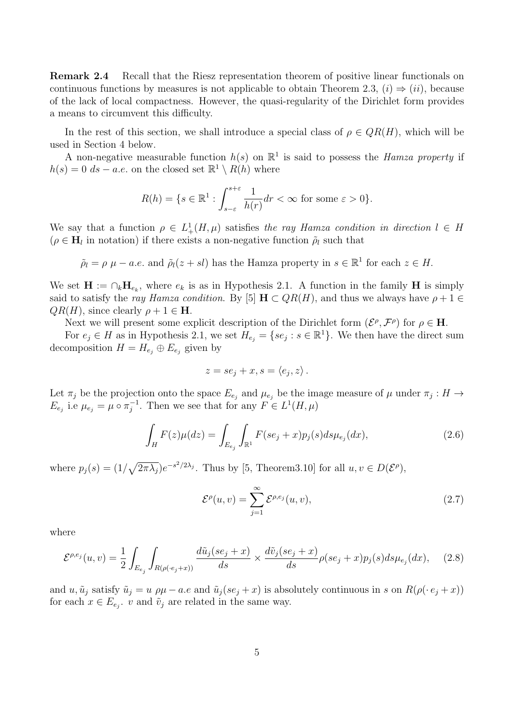**Remark 2.4** Recall that the Riesz representation theorem of positive linear functionals on continuous functions by measures is not applicable to obtain Theorem 2.3,  $(i) \Rightarrow (ii)$ , because of the lack of local compactness. However, the quasi-regularity of the Dirichlet form provides a means to circumvent this difficulty.

In the rest of this section, we shall introduce a special class of  $\rho \in QR(H)$ , which will be used in Section 4 below.

A non-negative measurable function  $h(s)$  on  $\mathbb{R}^1$  is said to possess the *Hamza property* if  $h(s) = 0$  *ds − a.e.* on the closed set  $\mathbb{R}^1 \setminus R(h)$  where

$$
R(h) = \{ s \in \mathbb{R}^1 : \int_{s-\varepsilon}^{s+\varepsilon} \frac{1}{h(r)} dr < \infty \text{ for some } \varepsilon > 0 \}.
$$

We say that a function  $\rho \in L^1_+(H,\mu)$  satisfies the ray Hamza condition in direction  $l \in H$  $(\rho \in \mathbf{H}_l)$  in notation) if there exists a non-negative function  $\rho_l$  such that

$$
\tilde{\rho}_l = \rho \mu - a.e.
$$
 and  $\tilde{\rho}_l(z + sl)$  has the Hamza property in  $s \in \mathbb{R}^1$  for each  $z \in H$ .

We set  $\mathbf{H} := \bigcap_k \mathbf{H}_{e_k}$ , where  $e_k$  is as in Hypothesis 2.1. A function in the family H is simply said to satisfy the *ray Hamza condition*. By [5]  $H \subset QR(H)$ , and thus we always have  $\rho + 1 \in$  $QR(H)$ , since clearly  $\rho + 1 \in H$ .

Next we will present some explicit description of the Dirichlet form  $(\mathcal{E}^{\rho}, \mathcal{F}^{\rho})$  for  $\rho \in \mathbf{H}$ .

For  $e_j \in H$  as in Hypothesis 2.1, we set  $H_{e_j} = \{se_j : s \in \mathbb{R}^1\}$ . We then have the direct sum decomposition  $H = H_{e_j} \oplus E_{e_j}$  given by

$$
z = s e_j + x, s = \langle e_j, z \rangle.
$$

Let  $\pi_j$  be the projection onto the space  $E_{e_j}$  and  $\mu_{e_j}$  be the image measure of  $\mu$  under  $\pi_j : H \to$ *E*<sub>*ej*</sub> i.e  $\mu_{e_j} = \mu \circ \pi_j^{-1}$ . Then we see that for any  $F \in L^1(H, \mu)$ 

$$
\int_{H} F(z) \mu(dz) = \int_{E_{e_j}} \int_{\mathbb{R}^1} F(se_j + x) p_j(s) ds \mu_{e_j}(dx),
$$
\n(2.6)

where  $p_j(s) = (1/\sqrt{2\pi\lambda_j})e^{-s^2/2\lambda_j}$ . Thus by [5, Theorem3.10] for all  $u, v \in D(\mathcal{E}^{\rho})$ ,

$$
\mathcal{E}^{\rho}(u,v) = \sum_{j=1}^{\infty} \mathcal{E}^{\rho,e_j}(u,v),
$$
\n(2.7)

where

$$
\mathcal{E}^{\rho,e_j}(u,v) = \frac{1}{2} \int_{E_{e_j}} \int_{R(\rho(e_j + x))} \frac{d\tilde{u}_j(se_j + x)}{ds} \times \frac{d\tilde{v}_j(se_j + x)}{ds} \rho(se_j + x) p_j(s) ds \mu_{e_j}(dx), \quad (2.8)
$$

and  $u, \tilde{u}_j$  satisfy  $\tilde{u}_j = u \rho \mu - a.e$  and  $\tilde{u}_j(se_j + x)$  is absolutely continuous in s on  $R(\rho(\cdot e_j + x))$ for each  $x \in E_{e_j}$ , *v* and  $\tilde{v}_j$  are related in the same way.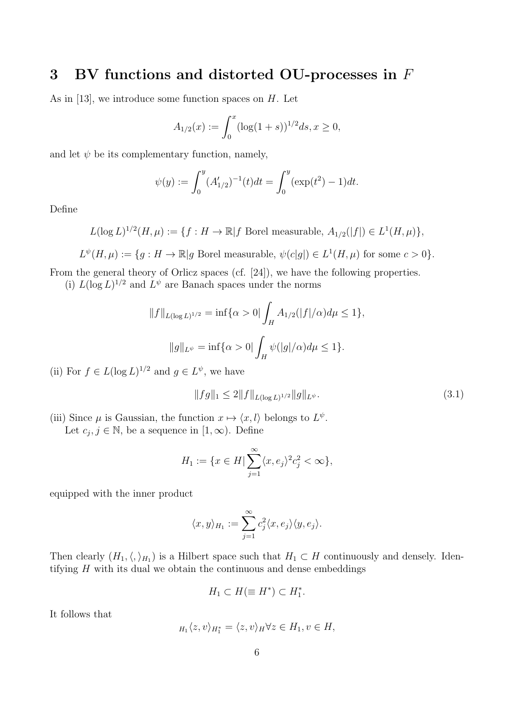# **3 BV functions and distorted OU-processes in** *F*

As in [13], we introduce some function spaces on *H*. Let

$$
A_{1/2}(x) := \int_0^x (\log(1+s))^{1/2} ds, x \ge 0,
$$

and let  $\psi$  be its complementary function, namely,

$$
\psi(y) := \int_0^y (A'_{1/2})^{-1}(t)dt = \int_0^y (\exp(t^2) - 1)dt.
$$

Define

$$
L(\log L)^{1/2}(H,\mu) := \{ f : H \to \mathbb{R} | f \text{ Borel measurable, } A_{1/2}(|f|) \in L^1(H,\mu) \},
$$

$$
L^{\psi}(H,\mu) := \{ g : H \to \mathbb{R} | g \text{ Borel measurable}, \psi(c|g|) \in L^1(H,\mu) \text{ for some } c > 0 \}.
$$

From the general theory of Orlicz spaces (cf. [24]), we have the following properties.

(i)  $L(\log L)^{1/2}$  and  $L^{\psi}$  are Banach spaces under the norms

$$
||f||_{L(\log L)^{1/2}} = \inf \{ \alpha > 0 | \int_H A_{1/2}(|f|/\alpha) d\mu \le 1 \},
$$
  

$$
||g||_{L^{\psi}} = \inf \{ \alpha > 0 | \int_H \psi(|g|/\alpha) d\mu \le 1 \}.
$$

(ii) For  $f \in L(\log L)^{1/2}$  and  $g \in L^{\psi}$ , we have

$$
||fg||_1 \le 2||f||_{L(\log L)^{1/2}}||g||_{L^{\psi}}.\tag{3.1}
$$

(iii) Since  $\mu$  is Gaussian, the function  $x \mapsto \langle x, l \rangle$  belongs to  $L^{\psi}$ . Let  $c_j, j \in \mathbb{N}$ , be a sequence in  $[1, \infty)$ . Define

$$
H_1 := \{ x \in H \mid \sum_{j=1}^{\infty} \langle x, e_j \rangle^2 c_j^2 < \infty \},
$$

equipped with the inner product

$$
\langle x,y\rangle_{H_1}:=\sum_{j=1}^\infty c_j^2\langle x,e_j\rangle\langle y,e_j\rangle.
$$

Then clearly  $(H_1, \langle, \rangle_{H_1})$  is a Hilbert space such that  $H_1 \subset H$  continuously and densely. Identifying *H* with its dual we obtain the continuous and dense embeddings

$$
H_1 \subset H(\equiv H^*) \subset H_1^*.
$$

It follows that

$$
H_1 \langle z, v \rangle_{H_1^*} = \langle z, v \rangle_H \forall z \in H_1, v \in H,
$$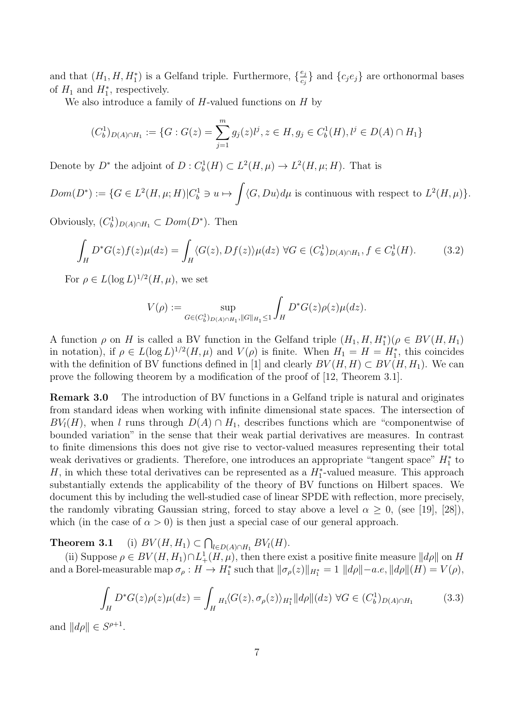and that  $(H_1, H, H_1^*)$  is a Gelfand triple. Furthermore,  $\{\frac{e_j}{e_j}\}$  $\{c_j e_j\}$  and  $\{c_j e_j\}$  are orthonormal bases of  $H_1$  and  $H_1^*$ , respectively.

We also introduce a family of *H*-valued functions on *H* by

$$
(C_b^1)_{D(A)\cap H_1} := \{G : G(z) = \sum_{j=1}^m g_j(z)l^j, z \in H, g_j \in C_b^1(H), l^j \in D(A) \cap H_1\}
$$

Denote by  $D^*$  the adjoint of  $D: C_b^1(H) \subset L^2(H, \mu) \to L^2(H, \mu; H)$ . That is

 $Dom(D^*) := \{ G \in L^2(H, \mu; H) | C_b^1 \ni u \mapsto$  $\langle G, Du \rangle d\mu$  is continuous with respect to  $L^2(H, \mu)$ .

Obviously,  $(C_b^1)_{D(A) \cap H_1} \subset Dom(D^*)$ . Then

$$
\int_H D^*G(z)f(z)\mu(dz) = \int_H \langle G(z), Df(z) \rangle \mu(dz) \,\forall G \in (C_b^1)_{D(A) \cap H_1}, f \in C_b^1(H). \tag{3.2}
$$

For  $\rho \in L(\log L)^{1/2}(H,\mu)$ , we set

$$
V(\rho) := \sup_{G \in (C_b^1)_{D(A) \cap H_1}, ||G||_{H_1} \le 1} \int_H D^* G(z) \rho(z) \mu(dz).
$$

A function  $\rho$  on *H* is called a BV function in the Gelfand triple  $(H_1, H, H_1^*)(\rho \in BV(H, H_1)$ in notation), if  $\rho \in L(\log L)^{1/2}(H,\mu)$  and  $V(\rho)$  is finite. When  $H_1 = H = H_1^*$ , this coincides with the definition of BV functions defined in [1] and clearly  $BV(H, H) \subset BV(H, H_1)$ . We can prove the following theorem by a modification of the proof of [12, Theorem 3.1].

**Remark 3.0** The introduction of BV functions in a Gelfand triple is natural and originates from standard ideas when working with infinite dimensional state spaces. The intersection of  $BV<sub>l</sub>(H)$ , when *l* runs through  $D(A) \cap H<sub>1</sub>$ , describes functions which are "componentwise of bounded variation" in the sense that their weak partial derivatives are measures. In contrast to finite dimensions this does not give rise to vector-valued measures representing their total weak derivatives or gradients. Therefore, one introduces an appropriate "tangent space"  $H_1^*$  to *H*, in which these total derivatives can be represented as a  $H_1^*$ -valued measure. This approach substantially extends the applicability of the theory of BV functions on Hilbert spaces. We document this by including the well-studied case of linear SPDE with reflection, more precisely, the randomly vibrating Gaussian string, forced to stay above a level  $\alpha \geq 0$ , (see [19], [28]), which (in the case of  $\alpha > 0$ ) is then just a special case of our general approach.

**Theorem 3.1** (i)  $BV(H, H_1) \subset \bigcap_{l \in D(A) \cap H_1} BV_l(H)$ .

(ii) Suppose  $\rho \in BV(H, H_1) \cap L^1_+(H, \mu)$ , then there exist a positive finite measure  $||d\rho||$  on *H* and a Borel-measurable map  $\sigma_{\rho}: H \to H_1^*$  such that  $\|\sigma_{\rho}(z)\|_{H_1^*} = 1$   $\|d\rho\| - a.e$ ,  $\|d\rho\|(H) = V(\rho)$ ,

$$
\int_H D^*G(z)\rho(z)\mu(dz) = \int_H H_1\langle G(z), \sigma_\rho(z)\rangle_{H_1^*} ||d\rho||(dz) \,\,\forall G \in (C_b^1)_{D(A)\cap H_1} \tag{3.3}
$$

and  $||d\rho|| \in S^{\rho+1}$ .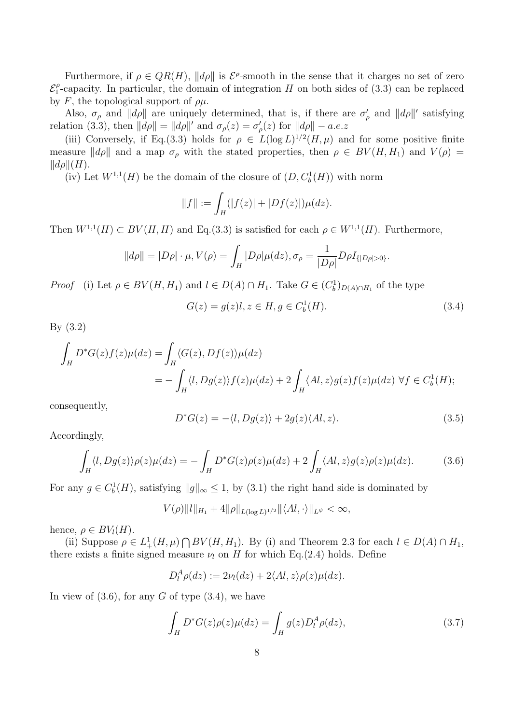Furthermore, if  $\rho \in QR(H)$ ,  $||d\rho||$  is  $\mathcal{E}^{\rho}$ -smooth in the sense that it charges no set of zero *E ρ* <sup> $\rho$ </sup>-capacity. In particular, the domain of integration *H* on both sides of (3.3) can be replaced by  $F$ , the topological support of  $\rho\mu$ .

Also,  $\sigma_{\rho}$  and  $||d\rho||$  are uniquely determined, that is, if there are  $\sigma'_{\rho}$  and  $||d\rho||'$  satisfying relation (3.3), then  $||d\rho|| = ||d\rho||'$  and  $\sigma_{\rho}(z) = \sigma'_{\rho}(z)$  for  $||d\rho|| - a.e.z$ 

(iii) Conversely, if Eq.(3.3) holds for  $\rho \in L(\log L)^{1/2}(H,\mu)$  and for some positive finite measure  $\|d\rho\|$  and a map  $\sigma_\rho$  with the stated properties, then  $\rho \in BV(H, H_1)$  and  $V(\rho)$  $\Vert d\rho \Vert (H).$ 

(iv) Let  $W^{1,1}(H)$  be the domain of the closure of  $(D, C_b^1(H))$  with norm

$$
||f|| := \int_H (|f(z)| + |Df(z)|) \mu(dz).
$$

Then  $W^{1,1}(H) \subset BV(H, H)$  and Eq.(3.3) is satisfied for each  $\rho \in W^{1,1}(H)$ . Furthermore,

$$
||d\rho|| = |D\rho| \cdot \mu, V(\rho) = \int_H |D\rho| \mu(dz), \sigma_\rho = \frac{1}{|D\rho|} D\rho I_{\{|D\rho|>0\}}.
$$

*Proof* (i) Let  $\rho \in BV(H, H_1)$  and  $l \in D(A) \cap H_1$ . Take  $G \in (C_b^1)_{D(A) \cap H_1}$  of the type

$$
G(z) = g(z)l, z \in H, g \in C_b^1(H). \tag{3.4}
$$

By (3.2)

$$
\int_H D^*G(z)f(z)\mu(dz) = \int_H \langle G(z), Df(z)\rangle \mu(dz)
$$
  
= 
$$
- \int_H \langle l, Dg(z)\rangle f(z)\mu(dz) + 2 \int_H \langle Al, z\rangle g(z)f(z)\mu(dz) \ \forall f \in C_b^1(H);
$$

consequently,

$$
D^*G(z) = -\langle l, Dg(z) \rangle + 2g(z) \langle Al, z \rangle. \tag{3.5}
$$

Accordingly,

$$
\int_H \langle l, Dg(z) \rangle \rho(z) \mu(dz) = -\int_H D^*G(z)\rho(z)\mu(dz) + 2\int_H \langle Al, z \rangle g(z)\rho(z)\mu(dz). \tag{3.6}
$$

For any  $g \in C_b^1(H)$ , satisfying  $||g||_{\infty} \leq 1$ , by (3.1) the right hand side is dominated by

$$
V(\rho) \|l\|_{H_1} + 4 \|\rho\|_{L(\log L)^{1/2}} \|\langle Al, \cdot \rangle\|_{L^\psi} < \infty,
$$

hence,  $\rho \in BV_l(H)$ .

(ii) Suppose  $\rho \in L^1_+(H,\mu) \cap BV(H,H_1)$ . By (i) and Theorem 2.3 for each  $l \in D(A) \cap H_1$ , there exists a finite signed measure  $\nu_l$  on *H* for which Eq.(2.4) holds. Define

$$
D_l^A \rho(dz) := 2\nu_l(dz) + 2\langle Al, z\rangle \rho(z)\mu(dz).
$$

In view of  $(3.6)$ , for any *G* of type  $(3.4)$ , we have

$$
\int_{H} D^*G(z)\rho(z)\mu(dz) = \int_{H} g(z)D_l^A \rho(dz),\tag{3.7}
$$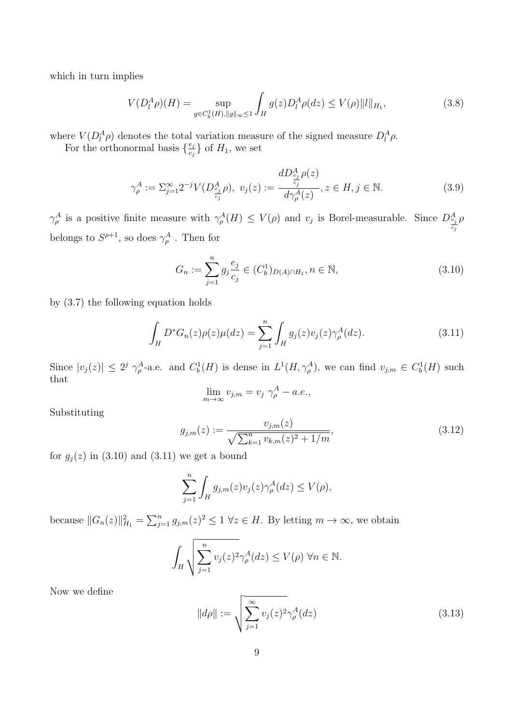which in turn implies

$$
V(D_l^A \rho)(H) = \sup_{g \in C_b^1(H), \|g\|_{\infty} \le 1} \int_H g(z) D_l^A \rho(dz) \le V(\rho) \|l\|_{H_1},
$$
\n(3.8)

where  $V(D_i^A \rho)$  denotes the total variation measure of the signed measure  $D_i^A \rho$ .

For the orthonormal basis  $\{\frac{e_j}{e_j}\}$  $\left\{\frac{e_j}{c_j}\right\}$  of  $H_1$ , we set

$$
\gamma_{\rho}^{A} := \sum_{j=1}^{\infty} 2^{-j} V(D_{\frac{e_j}{c_j}}^{A} \rho), \ v_j(z) := \frac{dD_{\frac{e_j}{c_j}}^{A} \rho(z)}{d\gamma_{\rho}^{A}(z)}, z \in H, j \in \mathbb{N}.
$$
 (3.9)

*γ*<sup>*A*</sup> *ρ*is a positive finite measure with  $\gamma_{\rho}^{A}(H) \leq V(\rho)$  and *v<sub>j</sub>* is Borel-measurable. Since  $D_{\frac{e_j}{2}}^{A}$ *cj ρ* belongs to  $S^{\rho+1}$ , so does  $\gamma_{\rho}^A$ . Then for

$$
G_n := \sum_{j=1}^n g_j \frac{e_j}{c_j} \in (C_b^1)_{D(A) \cap H_1}, n \in \mathbb{N},
$$
\n(3.10)

by (3.7) the following equation holds

$$
\int_{H} D^* G_n(z) \rho(z) \mu(dz) = \sum_{j=1}^{n} \int_{H} g_j(z) v_j(z) \gamma_{\rho}^{A}(dz).
$$
\n(3.11)

Since  $|v_j(z)| \leq 2^j \gamma_{\rho}^A$ -a.e. and  $C_b^1(H)$  is dense in  $L^1(H, \gamma_{\rho}^A)$ , we can find  $v_{j,m} \in C_b^1(H)$  such that

$$
\lim_{m \to \infty} v_{j,m} = v_j \gamma_{\rho}^A - a.e.,
$$

Substituting

$$
g_{j,m}(z) := \frac{v_{j,m}(z)}{\sqrt{\sum_{k=1}^{n} v_{k,m}(z)^2 + 1/m}},
$$
\n(3.12)

for  $g_j(z)$  in (3.10) and (3.11) we get a bound

$$
\sum_{j=1}^n \int_H g_{j,m}(z)v_j(z)\gamma_\rho^A(dz) \le V(\rho),
$$

because  $||G_n(z)||_{H_1}^2 = \sum_{j=1}^n g_{j,m}(z)^2 \leq 1 \ \forall z \in H$ . By letting  $m \to \infty$ , we obtain

$$
\int_H \sqrt{\sum_{j=1}^n v_j(z)^2} \gamma_\rho^A(dz) \le V(\rho) \,\forall n \in \mathbb{N}.
$$

Now we define

$$
||d\rho|| := \sqrt{\sum_{j=1}^{\infty} v_j(z)^2 \gamma_\rho^A(dz)} \tag{3.13}
$$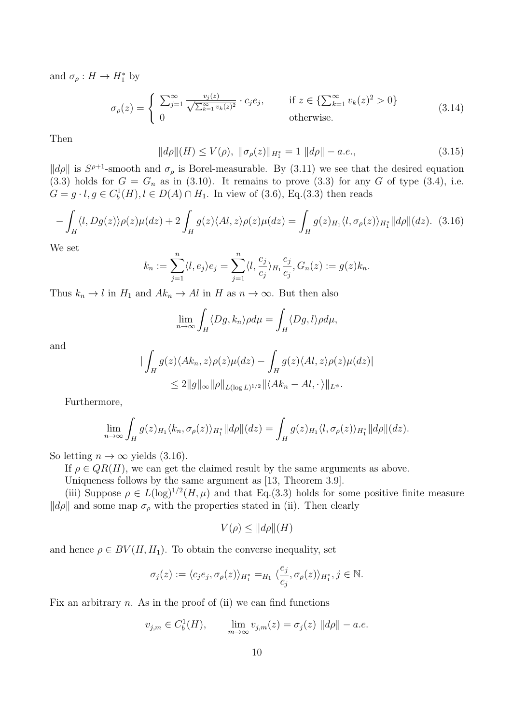and  $\sigma_{\rho}: H \to H_1^*$  by

$$
\sigma_{\rho}(z) = \begin{cases} \sum_{j=1}^{\infty} \frac{v_j(z)}{\sqrt{\sum_{k=1}^{\infty} v_k(z)^2}} \cdot c_j e_j, & \text{if } z \in \{\sum_{k=1}^{\infty} v_k(z)^2 > 0\} \\ 0 & \text{otherwise.} \end{cases}
$$
(3.14)

Then

$$
||d\rho||(H) \le V(\rho), \ ||\sigma_{\rho}(z)||_{H_1^*} = 1 \ ||d\rho|| - a.e., \tag{3.15}
$$

 $\|\phi\|$  is  $S^{\rho+1}$ -smooth and  $\sigma_\rho$  is Borel-measurable. By (3.11) we see that the desired equation  $(3.3)$  holds for  $G = G_n$  as in  $(3.10)$ . It remains to prove  $(3.3)$  for any *G* of type  $(3.4)$ , i.e. *G* = *g* ⋅ *l*, *g* ∈ *C*<sup>1</sup><sub>*b*</sub></sub>(*H*)*, l* ∈ *D*(*A*) ∩ *H*<sub>1</sub>. In view of (3.6), Eq.(3.3) then reads

$$
-\int_H \langle l, Dg(z) \rangle \rho(z) \mu(dz) + 2 \int_H g(z) \langle Al, z \rangle \rho(z) \mu(dz) = \int_H g(z)_{H_1} \langle l, \sigma_\rho(z) \rangle_{H_1^*} ||d\rho||(dz). \tag{3.16}
$$

We set

$$
k_n := \sum_{j=1}^n \langle l, e_j \rangle e_j = \sum_{j=1}^n \langle l, \frac{e_j}{c_j} \rangle_{H_1} \frac{e_j}{c_j}, G_n(z) := g(z)k_n.
$$

Thus  $k_n \to l$  in  $H_1$  and  $Ak_n \to Al$  in  $H$  as  $n \to \infty$ . But then also

$$
\lim_{n\to\infty}\int_H \langle Dg, k_n\rangle \rho d\mu = \int_H \langle Dg, l\rangle \rho d\mu,
$$

and

$$
\begin{aligned} \|\int_H g(z) \langle Ak_n, z \rangle \rho(z) \mu(dz) - \int_H g(z) \langle Al, z \rangle \rho(z) \mu(dz) | \\ \leq 2 \|g\|_{\infty} \|\rho\|_{L(\log L)^{1/2}} \|\langle Ak_n - Al, \cdot \rangle\|_{L^\psi}. \end{aligned}
$$

Furthermore,

$$
\lim_{n\to\infty}\int_H g(z)_{H_1}\langle k_n,\sigma_\rho(z)\rangle_{H_1^*}||d\rho||(dz)=\int_H g(z)_{H_1}\langle l,\sigma_\rho(z)\rangle_{H_1^*}||d\rho||(dz).
$$

So letting  $n \to \infty$  yields (3.16).

If  $\rho \in QR(H)$ , we can get the claimed result by the same arguments as above.

Uniqueness follows by the same argument as [13, Theorem 3.9].

(iii) Suppose  $\rho \in L(\log)^{1/2}(H,\mu)$  and that Eq.(3.3) holds for some positive finite measure  $\Vert d\rho \Vert$  and some map  $\sigma_{\rho}$  with the properties stated in (ii). Then clearly

$$
V(\rho) \le ||d\rho||(H)
$$

and hence  $\rho \in BV(H, H_1)$ . To obtain the converse inequality, set

$$
\sigma_j(z) := \langle c_j e_j, \sigma_\rho(z) \rangle_{H_1^*} =_{H_1} \langle \frac{e_j}{c_j}, \sigma_\rho(z) \rangle_{H_1^*}, j \in \mathbb{N}.
$$

Fix an arbitrary *n*. As in the proof of (ii) we can find functions

$$
v_{j,m} \in C_b^1(H)
$$
,  $\lim_{m \to \infty} v_{j,m}(z) = \sigma_j(z) ||d\rho|| - a.e.$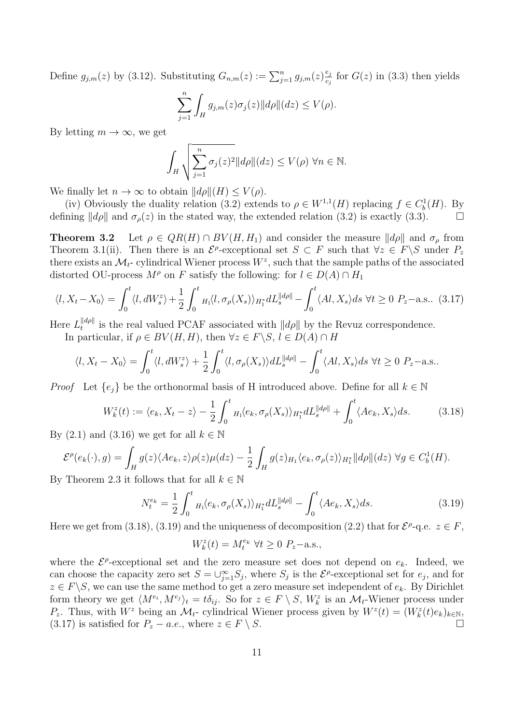Define  $g_{j,m}(z)$  by (3.12). Substituting  $G_{n,m}(z) := \sum_{j=1}^{n} g_{j,m}(z) \frac{e_j}{e_j}$  $\frac{e_j}{e_j}$  for  $G(z)$  in (3.3) then yields

$$
\sum_{j=1}^n \int_H g_{j,m}(z)\sigma_j(z) ||d\rho||(dz) \le V(\rho).
$$

By letting  $m \to \infty$ , we get

$$
\int_H \sqrt{\sum_{j=1}^n \sigma_j(z)^2} ||d\rho|| (dz) \le V(\rho) \,\forall n \in \mathbb{N}.
$$

We finally let  $n \to \infty$  to obtain  $||d\rho||(H) \leq V(\rho)$ .

(iv) Obviously the duality relation (3.2) extends to  $\rho \in W^{1,1}(H)$  replacing  $f \in C_b^1(H)$ . By defining  $||d\rho||$  and  $\sigma_{\rho}(z)$  in the stated way, the extended relation (3.2) is exactly (3.3).

**Theorem 3.2** Let  $\rho \in QR(H) \cap BV(H, H_1)$  and consider the measure  $||d\rho||$  and  $\sigma_\rho$  from Theorem 3.1(ii). Then there is an  $\mathcal{E}^{\rho}$ -exceptional set  $S \subset F$  such that  $\forall z \in F \setminus S$  under  $P_z$ there exists an  $\mathcal{M}_t$ - cylindrical Wiener process  $W^z$ , such that the sample paths of the associated distorted OU-process  $M^{\rho}$  on *F* satisfy the following: for  $l \in D(A) \cap H_1$ 

$$
\langle l, X_t - X_0 \rangle = \int_0^t \langle l, dW_s^z \rangle + \frac{1}{2} \int_0^t H_1 \langle l, \sigma_\rho(X_s) \rangle_{H_1^*} dL_s^{\|\dot{d}\rho\|} - \int_0^t \langle Al, X_s \rangle ds \,\,\forall t \ge 0 \,\, P_z-\text{a.s.}.
$$
 (3.17)

 ${\rm Here} \ L_t^{\|d\rho\|}$  $t^{\|\mathbf{a}\rho\|}_{t}$  is the real valued PCAF associated with  $\|\mathbf{d}\rho\|$  by the Revuz correspondence.

In particular, if  $\rho \in BV(H, H)$ , then  $\forall z \in F \setminus S, l \in D(A) \cap H$ 

$$
\langle l, X_t - X_0 \rangle = \int_0^t \langle l, dW_s^z \rangle + \frac{1}{2} \int_0^t \langle l, \sigma_\rho(X_s) \rangle dL_s^{\|d\rho\|} - \int_0^t \langle Al, X_s \rangle ds \,\,\forall t \ge 0 \,\, P_z-\text{a.s.}.
$$

*Proof* Let  $\{e_i\}$  be the orthonormal basis of H introduced above. Define for all  $k \in \mathbb{N}$ 

$$
W_k^z(t) := \langle e_k, X_t - z \rangle - \frac{1}{2} \int_0^t H_1 \langle e_k, \sigma_\rho(X_s) \rangle_{H_1^*} dL_s^{\|d\rho\|} + \int_0^t \langle Ae_k, X_s \rangle ds. \tag{3.18}
$$

By (2.1) and (3.16) we get for all  $k \in \mathbb{N}$ 

$$
\mathcal{E}^{\rho}(e_k(\cdot), g) = \int_H g(z) \langle Ae_k, z \rangle \rho(z) \mu(dz) - \frac{1}{2} \int_H g(z)_{H_1} \langle e_k, \sigma_{\rho}(z) \rangle_{H_1^*} ||d\rho||(dz) \ \forall g \in C_b^1(H).
$$

By Theorem 2.3 it follows that for all  $k \in \mathbb{N}$ 

$$
N_t^{e_k} = \frac{1}{2} \int_0^t {}_{H_1}\langle e_k, \sigma_\rho(X_s) \rangle_{H_1^*} dL_s^{\|d\rho\|} - \int_0^t \langle Ae_k, X_s \rangle ds. \tag{3.19}
$$

Here we get from (3.18), (3.19) and the uniqueness of decomposition (2.2) that for  $\mathcal{E}^{\rho}$ -q.e.  $z \in F$ ,

$$
W_k^z(t) = M_t^{e_k} \ \forall t \ge 0 \ P_z - \text{a.s.},
$$

where the  $\mathcal{E}^{\rho}$ -exceptional set and the zero measure set does not depend on  $e_k$ . Indeed, we can choose the capacity zero set  $S = \bigcup_{j=1}^{\infty} S_j$ , where  $S_j$  is the  $\mathcal{E}^{\rho}$ -exceptional set for  $e_j$ , and for  $z \in F \backslash S$ , we can use the same method to get a zero measure set independent of  $e_k$ . By Dirichlet form theory we get  $\langle M^{e_i}, M^{e_j} \rangle_t = t \delta_{ij}$ . So for  $z \in F \setminus S$ ,  $W_k^z$  is an  $\mathcal{M}_t$ -Wiener process under *P*<sub>z</sub>. Thus, with  $W^z$  being an  $\mathcal{M}_t$ - cylindrical Wiener process given by  $W^z(t) = (W^z_k(t)e_k)_{k \in \mathbb{N}},$ (3.17) is satisfied for  $P_z - a.e.,$  where  $z \in F \setminus S$ .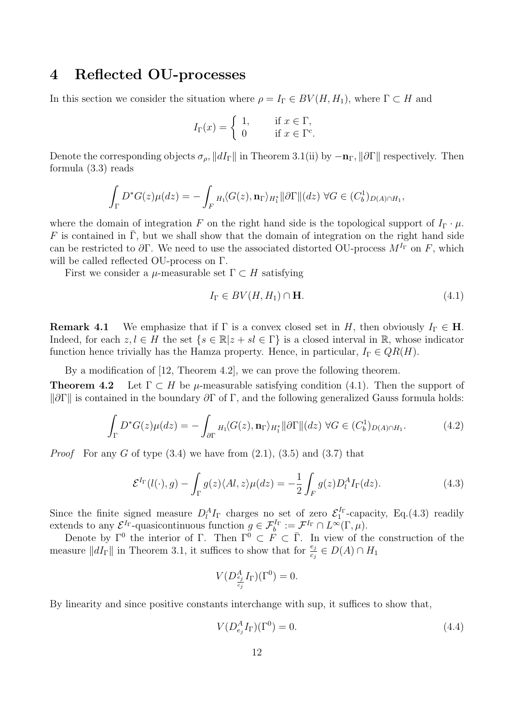## **4 Reflected OU-processes**

In this section we consider the situation where  $\rho = I_{\Gamma} \in BV(H, H_1)$ , where  $\Gamma \subset H$  and

$$
I_{\Gamma}(x) = \begin{cases} 1, & \text{if } x \in \Gamma, \\ 0 & \text{if } x \in \Gamma^c. \end{cases}
$$

Denote the corresponding objects  $\sigma_{\rho}$ ,  $\|dI_{\Gamma}\|$  in Theorem 3.1(ii) by  $-\mathbf{n}_{\Gamma}$ ,  $\|\partial\Gamma\|$  respectively. Then formula (3.3) reads

$$
\int_{\Gamma} D^*G(z)\mu(dz) = -\int_{F} H_1\langle G(z), \mathbf{n}_{\Gamma} \rangle_{H_1^*} ||\partial \Gamma|| (dz) \ \forall G \in (C_b^1)_{D(A) \cap H_1},
$$

where the domain of integration *F* on the right hand side is the topological support of  $I_{\Gamma} \cdot \mu$ . *F* is contained in  $\overline{\Gamma}$ , but we shall show that the domain of integration on the right hand side can be restricted to  $\partial \Gamma$ . We need to use the associated distorted OU-process  $M^{I_{\Gamma}}$  on *F*, which will be called reflected OU-process on Γ.

First we consider a  $\mu$ -measurable set  $\Gamma \subset H$  satisfying

$$
I_{\Gamma} \in BV(H, H_1) \cap \mathbf{H}.\tag{4.1}
$$

**Remark 4.1** We emphasize that if  $\Gamma$  is a convex closed set in *H*, then obviously  $I_{\Gamma} \in H$ . Indeed, for each  $z, l \in H$  the set  $\{s \in \mathbb{R} | z + s l \in \Gamma\}$  is a closed interval in R, whose indicator function hence trivially has the Hamza property. Hence, in particular,  $I_{\Gamma} \in QR(H)$ .

By a modification of [12, Theorem 4.2], we can prove the following theorem.

**Theorem 4.2** Let  $\Gamma \subset H$  be *µ*-measurable satisfying condition (4.1). Then the support of *k*<sup>∂Γ</sup> is contained in the boundary  $\partial$ Γ of Γ, and the following generalized Gauss formula holds:

$$
\int_{\Gamma} D^* G(z) \mu(dz) = - \int_{\partial \Gamma} H_1 \langle G(z), \mathbf{n}_{\Gamma} \rangle_{H_1^*} ||\partial \Gamma|| (dz) \ \forall G \in (C_b^1)_{D(A) \cap H_1}.
$$
\n(4.2)

*Proof* For any *G* of type  $(3.4)$  we have from  $(2.1)$ ,  $(3.5)$  and  $(3.7)$  that

$$
\mathcal{E}^{I_{\Gamma}}(l(\cdot),g) - \int_{\Gamma} g(z) \langle Al, z \rangle \mu(dz) = -\frac{1}{2} \int_{F} g(z) D_{l}^{A} I_{\Gamma}(dz). \tag{4.3}
$$

Since the finite signed measure  $D_l^A I_\Gamma$  charges no set of zero  $\mathcal{E}_1^{I_\Gamma}$ -capacity, Eq.(4.3) readily extends to any  $\mathcal{E}^{I_{\Gamma}}$ -quasicontinuous function  $g \in \mathcal{F}_b^{I_{\Gamma}} := \mathcal{F}^{I_{\Gamma}} \cap L^{\infty}(\Gamma, \mu)$ .

Denote by  $\Gamma^0$  the interior of  $\Gamma$ . Then  $\Gamma^0 \subset F \subset \overline{\Gamma}$ . In view of the construction of the measure  $||dI_{\Gamma}||$  in Theorem 3.1, it suffices to show that for  $\frac{e_j}{c_j} \in D(A) \cap H_1$ 

$$
V(D_{\frac{e_j}{c_j}}^A I_{\Gamma})(\Gamma^0) = 0.
$$

By linearity and since positive constants interchange with sup, it suffices to show that,

$$
V(D_{e_j}^A I_{\Gamma})(\Gamma^0) = 0.
$$
\n(4.4)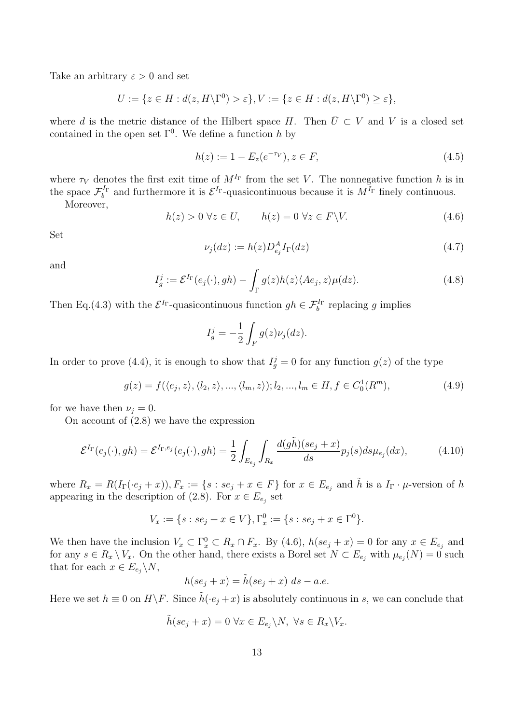Take an arbitrary  $\varepsilon > 0$  and set

$$
U := \{ z \in H : d(z, H \backslash \Gamma^0) > \varepsilon \}, V := \{ z \in H : d(z, H \backslash \Gamma^0) \ge \varepsilon \},
$$

where *d* is the metric distance of the Hilbert space *H*. Then  $\overline{U} \subset V$  and *V* is a closed set contained in the open set  $\Gamma^0$ . We define a function *h* by

$$
h(z) := 1 - E_z(e^{-\tau_V}), z \in F,
$$
\n(4.5)

where  $\tau_V$  denotes the first exit time of  $M^{I_{\Gamma}}$  from the set *V*. The nonnegative function *h* is in the space  $\mathcal{F}_b^{I_{\Gamma}}$  and furthermore it is  $\mathcal{E}^{I_{\Gamma}}$ -quasicontinuous because it is  $M^{I_{\Gamma}}$  finely continuous.

Moreover,

$$
h(z) > 0 \,\forall z \in U, \qquad h(z) = 0 \,\forall z \in F \backslash V. \tag{4.6}
$$

Set

$$
\nu_j(dz) := h(z)D_{e_j}^A I_{\Gamma}(dz)
$$
\n(4.7)

and

$$
I_g^j := \mathcal{E}^{I_{\Gamma}}(e_j(\cdot), gh) - \int_{\Gamma} g(z)h(z)\langle Ae_j, z\rangle \mu(dz).
$$
 (4.8)

Then Eq.(4.3) with the  $\mathcal{E}^{I_{\Gamma}}$ -quasicontinuous function  $gh \in \mathcal{F}_b^{I_{\Gamma}}$  replacing g implies

$$
I_g^j = -\frac{1}{2} \int_F g(z) \nu_j(dz).
$$

In order to prove (4.4), it is enough to show that  $I_g^j = 0$  for any function  $g(z)$  of the type

$$
g(z) = f(\langle e_j, z \rangle, \langle l_2, z \rangle, \dots, \langle l_m, z \rangle); l_2, \dots, l_m \in H, f \in C_0^1(R^m),
$$
\n
$$
(4.9)
$$

for we have then  $\nu_i = 0$ .

On account of (2.8) we have the expression

$$
\mathcal{E}^{I_{\Gamma}}(e_j(\cdot), gh) = \mathcal{E}^{I_{\Gamma}, e_j}(e_j(\cdot), gh) = \frac{1}{2} \int_{E_{e_j}} \int_{R_x} \frac{d(g\tilde{h})(se_j + x)}{ds} p_j(s) ds \mu_{e_j}(dx), \tag{4.10}
$$

where  $R_x = R(I_\Gamma(\cdot e_j + x)), F_x := \{s : se_j + x \in F\}$  for  $x \in E_{e_j}$  and  $\tilde{h}$  is a  $I_\Gamma \cdot \mu$ -version of h appearing in the description of  $(2.8)$ . For  $x \in E_{e_j}$  set

$$
V_x := \{ s : se_j + x \in V \}, \Gamma_x^0 := \{ s : se_j + x \in \Gamma^0 \}.
$$

We then have the inclusion  $V_x \subset \Gamma_x^0 \subset R_x \cap F_x$ . By (4.6),  $h(se_j + x) = 0$  for any  $x \in E_{e_j}$  and for any  $s \in R_x \setminus V_x$ . On the other hand, there exists a Borel set  $N \subset E_{e_j}$  with  $\mu_{e_j}(N) = 0$  such that for each  $x \in E_{e_j} \backslash N$ ,

$$
h(se_j + x) = \tilde{h}(se_j + x) ds - a.e.
$$

Here we set  $h \equiv 0$  on  $H \backslash F$ . Since  $\tilde{h}(\cdot e_i + x)$  is absolutely continuous in *s*, we can conclude that

$$
\tilde{h}(se_j + x) = 0 \,\,\forall x \in E_{e_j} \backslash N, \,\,\forall s \in R_x \backslash V_x.
$$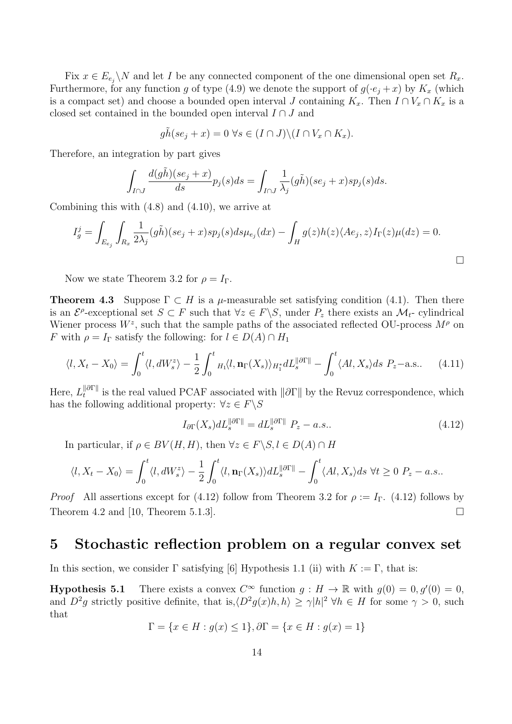Fix  $x \in E_{e_j} \backslash N$  and let *I* be any connected component of the one dimensional open set  $R_x$ . Furthermore, for any function *g* of type (4.9) we denote the support of  $g(e_i + x)$  by  $K_x$  (which is a compact set) and choose a bounded open interval *J* containing  $K_x$ . Then  $I \cap V_x \cap K_x$  is a closed set contained in the bounded open interval *I ∩ J* and

$$
g\tilde{h}(se_j + x) = 0 \,\,\forall s \in (I \cap J) \setminus (I \cap V_x \cap K_x).
$$

Therefore, an integration by part gives

$$
\int_{I\cap J}\frac{d(g\tilde{h})(se_j+x)}{ds}p_j(s)ds=\int_{I\cap J}\frac{1}{\lambda_j}(g\tilde{h})(se_j+x)sp_j(s)ds.
$$

Combining this with (4.8) and (4.10), we arrive at

$$
I_g^j = \int_{E_{e_j}} \int_{R_x} \frac{1}{2\lambda_j} (g\tilde{h})(se_j + x) sp_j(s) ds \mu_{e_j}(dx) - \int_H g(z)h(z) \langle Ae_j, z \rangle I_{\Gamma}(z) \mu(dz) = 0.
$$

Now we state Theorem 3.2 for  $\rho = I_{\Gamma}$ .

**Theorem 4.3** Suppose  $\Gamma \subset H$  is a  $\mu$ -measurable set satisfying condition (4.1). Then there is an  $\mathcal{E}^{\rho}$ -exceptional set  $S \subset F$  such that  $\forall z \in F \setminus S$ , under  $P_z$  there exists an  $\mathcal{M}_t$ - cylindrical Wiener process  $W^z$ , such that the sample paths of the associated reflected OU-process  $M^{\rho}$  on *F* with  $\rho = I_{\Gamma}$  satisfy the following: for  $l \in D(A) \cap H_1$ 

$$
\langle l, X_t - X_0 \rangle = \int_0^t \langle l, dW_s^z \rangle - \frac{1}{2} \int_0^t H_1 \langle l, \mathbf{n}_\Gamma(X_s) \rangle_{H_1^*} dL_s^{\|\partial \Gamma\|} - \int_0^t \langle Al, X_s \rangle ds \ P_z - \text{a.s.} \tag{4.11}
$$

 ${\rm Here,\ } L_t^{\|\partial\Gamma\|}$ *t*<sup>*n*</sup> is the real valued PCAF associated with  $\|\partial\Gamma\|$  by the Revuz correspondence, which has the following additional property:  $\forall z \in F \backslash S$ 

$$
I_{\partial\Gamma}(X_s)dL_s^{\|\partial\Gamma\|} = dL_s^{\|\partial\Gamma\|} P_z - a.s.. \qquad (4.12)
$$

In particular, if  $\rho \in BV(H, H)$ , then  $\forall z \in F \setminus S, l \in D(A) \cap H$ 

$$
\langle l, X_t - X_0 \rangle = \int_0^t \langle l, dW_s \rangle - \frac{1}{2} \int_0^t \langle l, \mathbf{n}_{\Gamma}(X_s) \rangle dL_s^{\|\partial \Gamma\|} - \int_0^t \langle Al, X_s \rangle ds \ \forall t \ge 0 \ P_z - a.s..
$$

*Proof* All assertions except for (4.12) follow from Theorem 3.2 for  $\rho := I_{\Gamma}$ . (4.12) follows by Theorem 4.2 and [10, Theorem 5.1.3].

### **5 Stochastic reflection problem on a regular convex set**

In this section, we consider  $\Gamma$  satisfying [6] Hypothesis 1.1 (ii) with  $K := \Gamma$ , that is:

**Hypothesis 5.1** There exists a convex  $C^{\infty}$  function  $g: H \to \mathbb{R}$  with  $g(0) = 0, g'(0) = 0$ , and  $D^2g$  strictly positive definite, that is, $\langle D^2g(x)h, h \rangle \geq \gamma |h|^2 \,\forall h \in H$  for some  $\gamma > 0$ , such that

$$
\Gamma = \{ x \in H : g(x) \le 1 \}, \partial \Gamma = \{ x \in H : g(x) = 1 \}
$$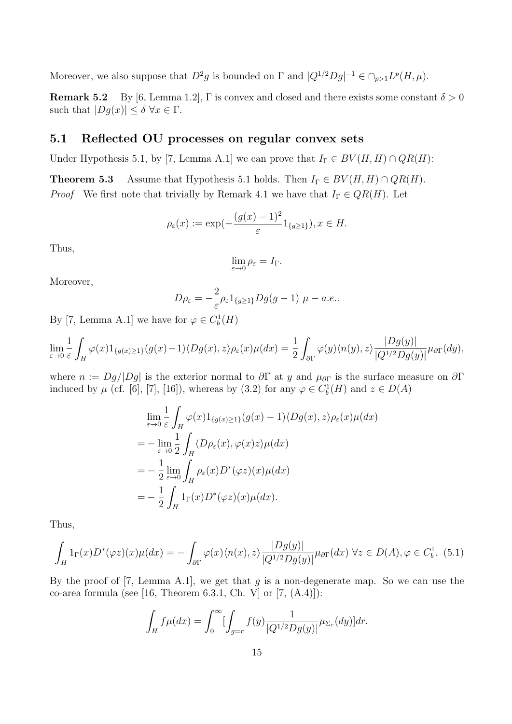Moreover, we also suppose that  $D^2g$  is bounded on  $\Gamma$  and  $|Q^{1/2}Dg|^{-1} \in \cap_{p>1} L^p(H, \mu)$ .

**Remark 5.2** By [6, Lemma 1.2], Γ is convex and closed and there exists some constant  $\delta > 0$ such that  $|Dg(x)| \leq \delta \ \forall x \in \Gamma$ .

### **5.1 Reflected OU processes on regular convex sets**

Under Hypothesis 5.1, by [7, Lemma A.1] we can prove that  $I_{\Gamma} \in BV(H, H) \cap QR(H)$ :

**Theorem 5.3** Assume that Hypothesis 5.1 holds. Then  $I_{\Gamma} \in BV(H, H) \cap QR(H)$ . *Proof* We first note that trivially by Remark 4.1 we have that  $I_{\Gamma} \in QR(H)$ . Let

$$
\rho_{\varepsilon}(x) := \exp\left(-\frac{(g(x) - 1)^2}{\varepsilon} 1_{\{g \ge 1\}}\right), x \in H.
$$

Thus,

$$
\lim_{\varepsilon \to 0} \rho_{\varepsilon} = I_{\Gamma}.
$$

Moreover,

$$
D\rho_{\varepsilon} = -\frac{2}{\varepsilon}\rho_{\varepsilon}1_{\{g\geq 1\}}Dg(g-1)\,\,\mu - a.e..
$$

By [7, Lemma A.1] we have for  $\varphi \in C_b^1(H)$ 

$$
\lim_{\varepsilon \to 0} \frac{1}{\varepsilon} \int_H \varphi(x) 1_{\{g(x) \ge 1\}}(g(x) - 1) \langle Dg(x), z \rangle \rho_{\varepsilon}(x) \mu(dx) = \frac{1}{2} \int_{\partial \Gamma} \varphi(y) \langle n(y), z \rangle \frac{|Dg(y)|}{|Q^{1/2}Dg(y)|} \mu_{\partial \Gamma}(dy),
$$

where  $n := Dg/|Dg|$  is the exterior normal to  $\partial \Gamma$  at *y* and  $\mu_{\partial \Gamma}$  is the surface measure on  $\partial \Gamma$ induced by  $\mu$  (cf. [6], [7], [16]), whereas by (3.2) for any  $\varphi \in C_b^1(H)$  and  $z \in D(A)$ 

$$
\lim_{\varepsilon \to 0} \frac{1}{\varepsilon} \int_H \varphi(x) 1_{\{g(x) \ge 1\}}(g(x) - 1) \langle Dg(x), z \rangle \rho_{\varepsilon}(x) \mu(dx)
$$
\n
$$
= -\lim_{\varepsilon \to 0} \frac{1}{2} \int_H \langle D\rho_{\varepsilon}(x), \varphi(x)z \rangle \mu(dx)
$$
\n
$$
= -\frac{1}{2} \lim_{\varepsilon \to 0} \int_H \rho_{\varepsilon}(x) D^*(\varphi z)(x) \mu(dx)
$$
\n
$$
= -\frac{1}{2} \int_H 1_{\Gamma}(x) D^*(\varphi z)(x) \mu(dx).
$$

Thus,

$$
\int_H 1_{\Gamma}(x)D^*(\varphi z)(x)\mu(dx) = -\int_{\partial \Gamma} \varphi(x)\langle n(x), z\rangle \frac{|Dg(y)|}{|Q^{1/2}Dg(y)|}\mu_{\partial \Gamma}(dx) \,\forall z \in D(A), \varphi \in C_b^1. \tag{5.1}
$$

By the proof of [7, Lemma A.1], we get that *g* is a non-degenerate map. So we can use the co-area formula (see [16, Theorem 6.3.1, Ch. V] or [7, (A.4)]):

$$
\int_{H} f\mu(dx) = \int_{0}^{\infty} \left[ \int_{g=r} f(y) \frac{1}{|Q^{1/2}Dg(y)|} \mu_{\Sigma_{r}}(dy) \right] dr.
$$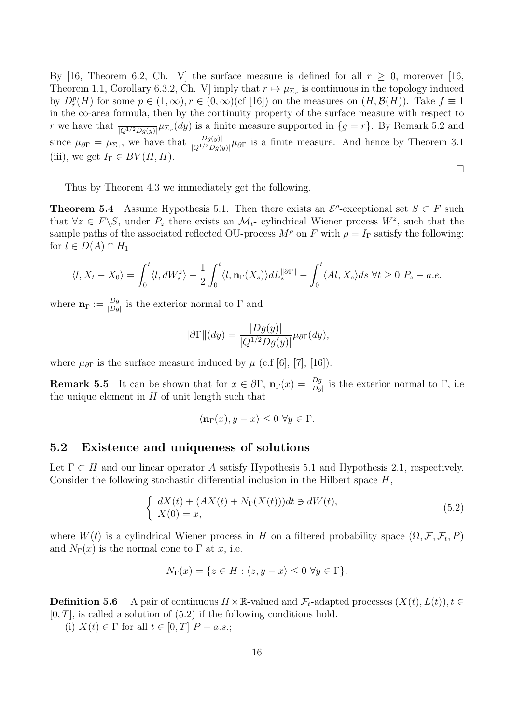By [16, Theorem 6.2, Ch. V] the surface measure is defined for all  $r \geq 0$ , moreover [16, Theorem 1.1, Corollary 6.3.2, Ch. V] imply that  $r \mapsto \mu_{\Sigma_r}$  is continuous in the topology induced by  $D_r^p(H)$  for some  $p \in (1, \infty)$ ,  $r \in (0, \infty)$  (cf [16]) on the measures on  $(H, \mathcal{B}(H))$ . Take  $f \equiv 1$ in the co-area formula, then by the continuity property of the surface measure with respect to *r* we have that  $\frac{1}{|Q^{1/2}Dg(y)|}\mu_{\Sigma_r}(dy)$  is a finite measure supported in  $\{g=r\}$ . By Remark 5.2 and since  $\mu_{\partial\Gamma} = \mu_{\Sigma_1}$ , we have that  $\frac{|Dg(y)|}{|Q^{1/2}Dg(y)|}\mu_{\partial\Gamma}$  is a finite measure. And hence by Theorem 3.1 (iii), we get  $I_{\Gamma} \in BV(H, H)$ .

$$
\Box
$$

Thus by Theorem 4.3 we immediately get the following.

**Theorem 5.4** Assume Hypothesis 5.1. Then there exists an  $\mathcal{E}^{\rho}$ -exceptional set *S*  $\subset$  *F* such that  $\forall z \in F \setminus S$ , under  $P_z$  there exists an  $\mathcal{M}_t$ - cylindrical Wiener process  $W^z$ , such that the sample paths of the associated reflected OU-process  $M^{\rho}$  on *F* with  $\rho = I_{\Gamma}$  satisfy the following: for  $l \in D(A) \cap H_1$ 

$$
\langle l, X_t - X_0 \rangle = \int_0^t \langle l, dW_s^z \rangle - \frac{1}{2} \int_0^t \langle l, \mathbf{n}_{\Gamma}(X_s) \rangle dL_s^{\|\partial \Gamma\|} - \int_0^t \langle Al, X_s \rangle ds \ \forall t \ge 0 \ P_z - a.e.
$$

where  $\mathbf{n}_{\Gamma} := \frac{Dg}{\Box Dg}$  $\frac{Dg}{|Dg|}$  is the exterior normal to  $\Gamma$  and

$$
\|\partial\Gamma\|(dy) = \frac{|Dg(y)|}{|Q^{1/2}Dg(y)|}\mu_{\partial\Gamma}(dy),
$$

where  $\mu_{\partial\Gamma}$  is the surface measure induced by  $\mu$  (c.f [6], [7], [16]).

**Remark 5.5** It can be shown that for  $x \in \partial \Gamma$ ,  $\mathbf{n}_{\Gamma}(x) = \frac{Dg}{|Dg|}$  is the exterior normal to  $\Gamma$ , i.e. the unique element in *H* of unit length such that

$$
\langle \mathbf{n}_{\Gamma}(x), y - x \rangle \le 0 \,\,\forall y \in \Gamma.
$$

#### **5.2 Existence and uniqueness of solutions**

Let Γ *⊂ H* and our linear operator *A* satisfy Hypothesis 5.1 and Hypothesis 2.1, respectively. Consider the following stochastic differential inclusion in the Hilbert space *H*,

$$
\begin{cases}\n dX(t) + (AX(t) + N_{\Gamma}(X(t)))dt \ni dW(t), \\
 X(0) = x,\n\end{cases} \tag{5.2}
$$

where  $W(t)$  is a cylindrical Wiener process in *H* on a filtered probability space  $(\Omega, \mathcal{F}, \mathcal{F}_t, P)$ and  $N_{\Gamma}(x)$  is the normal cone to  $\Gamma$  at *x*, i.e.

$$
N_{\Gamma}(x) = \{ z \in H : \langle z, y - x \rangle \le 0 \,\,\forall y \in \Gamma \}.
$$

**Definition 5.6** A pair of continuous  $H \times \mathbb{R}$ -valued and  $\mathcal{F}_t$ -adapted processes  $(X(t), L(t))$ ,  $t \in$  $[0, T]$ , is called a solution of  $(5.2)$  if the following conditions hold.

(i) *X*(*t*)  $∈$  Γ for all *t*  $∈$  [0, *T*] *P* − *a.s.*;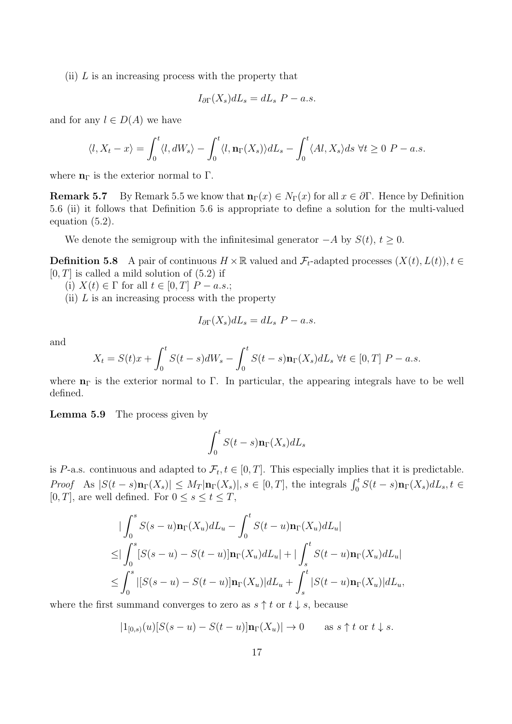(ii) *L* is an increasing process with the property that

$$
I_{\partial\Gamma}(X_s)dL_s = dL_s\ P - a.s.
$$

and for any  $l \in D(A)$  we have

$$
\langle l, X_t - x \rangle = \int_0^t \langle l, dW_s \rangle - \int_0^t \langle l, \mathbf{n}_{\Gamma}(X_s) \rangle dL_s - \int_0^t \langle Al, X_s \rangle ds \ \forall t \ge 0 \ P - a.s.
$$

where  $n_{\Gamma}$  is the exterior normal to  $\Gamma$ .

**Remark 5.7** By Remark 5.5 we know that  $\mathbf{n}_{\Gamma}(x) \in N_{\Gamma}(x)$  for all  $x \in \partial \Gamma$ . Hence by Definition 5.6 (ii) it follows that Definition 5.6 is appropriate to define a solution for the multi-valued equation (5.2).

We denote the semigroup with the infinitesimal generator  $-A$  by  $S(t)$ ,  $t \geq 0$ .

**Definition 5.8** A pair of continuous  $H \times \mathbb{R}$  valued and  $\mathcal{F}_t$ -adapted processes  $(X(t), L(t))$ ,  $t \in$  $[0, T]$  is called a mild solution of  $(5.2)$  if

(i) *X*(*t*) ∈ Γ for all *t* ∈ [0, *T*]  $P - a.s.$ ;

(ii) *L* is an increasing process with the property

$$
I_{\partial\Gamma}(X_s)dL_s = dL_s\ P - a.s.
$$

and

$$
X_t = S(t)x + \int_0^t S(t-s)dW_s - \int_0^t S(t-s)\mathbf{n}_{\Gamma}(X_s)dL_s \ \forall t \in [0,T] \ P-a.s.
$$

where  $n_{\Gamma}$  is the exterior normal to  $\Gamma$ . In particular, the appearing integrals have to be well defined.

**Lemma 5.9** The process given by

$$
\int_0^t S(t-s) \mathbf{n}_{\Gamma}(X_s) dL_s
$$

is *P*-a.s. continuous and adapted to  $\mathcal{F}_t, t \in [0, T]$ . This especially implies that it is predictable. *Proof* As  $|S(t-s)\mathbf{n}_{\Gamma}(X_s)| \leq M_T |\mathbf{n}_{\Gamma}(X_s)|$ ,  $s \in [0,T]$ , the integrals  $\int_0^t S(t-s)\mathbf{n}_{\Gamma}(X_s) dL_s$ ,  $t \in$ [0, *T*], are well defined. For  $0 \leq s \leq t \leq T$ ,

$$
\begin{aligned}\n&\int_0^s S(s-u)\mathbf{n}_{\Gamma}(X_u) dL_u - \int_0^t S(t-u)\mathbf{n}_{\Gamma}(X_u) dL_u| \\
&\leq \int_0^s [S(s-u) - S(t-u)]\mathbf{n}_{\Gamma}(X_u) dL_u| + |\int_s^t S(t-u)\mathbf{n}_{\Gamma}(X_u) dL_u| \\
&\leq \int_0^s |[S(s-u) - S(t-u)]\mathbf{n}_{\Gamma}(X_u)| dL_u + \int_s^t |S(t-u)\mathbf{n}_{\Gamma}(X_u)| dL_u,\n\end{aligned}
$$

where the first summand converges to zero as  $s \uparrow t$  or  $t \downarrow s$ , because

$$
|1_{[0,s)}(u)[S(s-u)-S(t-u)]\mathbf{n}_{\Gamma}(X_u)|\to 0 \quad \text{as } s \uparrow t \text{ or } t \downarrow s.
$$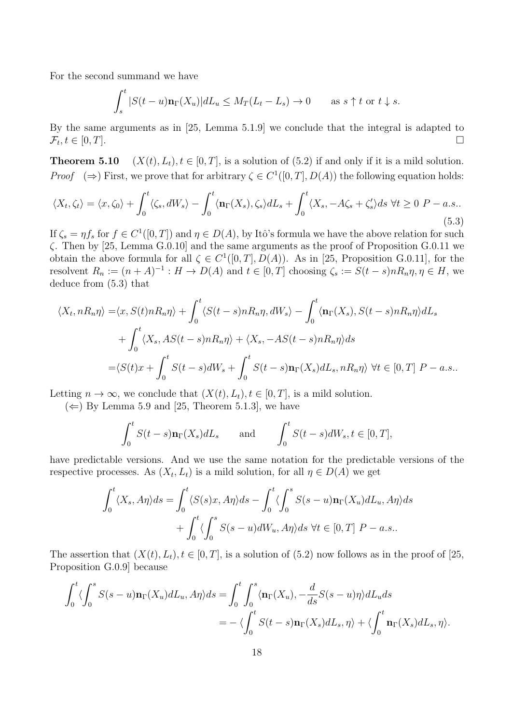For the second summand we have

$$
\int_{s}^{t} |S(t-u)\mathbf{n}_{\Gamma}(X_u)| dL_u \le M_T(L_t - L_s) \to 0 \quad \text{as } s \uparrow t \text{ or } t \downarrow s.
$$

By the same arguments as in [25, Lemma 5.1.9] we conclude that the integral is adapted to  $\mathcal{F}_t, t \in [0, T].$ 

**Theorem 5.10**  $(X(t), L_t), t \in [0, T]$ , is a solution of (5.2) if and only if it is a mild solution. *Proof*  $(\Rightarrow)$  First, we prove that for arbitrary  $\zeta \in C^1([0, T], D(A))$  the following equation holds:

$$
\langle X_t, \zeta_t \rangle = \langle x, \zeta_0 \rangle + \int_0^t \langle \zeta_s, dW_s \rangle - \int_0^t \langle \mathbf{n}_{\Gamma}(X_s), \zeta_s \rangle dL_s + \int_0^t \langle X_s, -A\zeta_s + \zeta_s' \rangle ds \ \forall t \ge 0 \ P-a.s.. \tag{5.3}
$$

If  $\zeta_s = \eta f_s$  for  $f \in C^1([0,T])$  and  $\eta \in D(A)$ , by Itô's formula we have the above relation for such *ζ*. Then by [25, Lemma G.0.10] and the same arguments as the proof of Proposition G.0.11 we obtain the above formula for all  $\zeta \in C^1([0,T], D(A))$ . As in [25, Proposition G.0.11], for the resolvent  $R_n := (n + A)^{-1} : H \to D(A)$  and  $t \in [0, T]$  choosing  $\zeta_s := S(t - s)nR_n\eta, \eta \in H$ , we deduce from (5.3) that

$$
\langle X_t, nR_n \eta \rangle = \langle x, S(t)nR_n \eta \rangle + \int_0^t \langle S(t-s)nR_n \eta, dW_s \rangle - \int_0^t \langle \mathbf{n}_{\Gamma}(X_s), S(t-s)nR_n \eta \rangle dL_s
$$
  
+ 
$$
\int_0^t \langle X_s, AS(t-s)nR_n \eta \rangle + \langle X_s, -AS(t-s)nR_n \eta \rangle ds
$$
  
= 
$$
\langle S(t)x + \int_0^t S(t-s)dW_s + \int_0^t S(t-s)\mathbf{n}_{\Gamma}(X_s)dL_s, nR_n \eta \rangle \ \forall t \in [0, T] \ P - a.s..
$$

Letting  $n \to \infty$ , we conclude that  $(X(t), L_t), t \in [0, T]$ , is a mild solution.

 $(\Leftarrow)$  By Lemma 5.9 and [25, Theorem 5.1.3], we have

$$
\int_0^t S(t-s)\mathbf{n}_{\Gamma}(X_s) dL_s \quad \text{and} \quad \int_0^t S(t-s) dW_s, t \in [0, T],
$$

have predictable versions. And we use the same notation for the predictable versions of the respective processes. As  $(X_t, L_t)$  is a mild solution, for all  $\eta \in D(A)$  we get

$$
\int_0^t \langle X_s, A\eta \rangle ds = \int_0^t \langle S(s)x, A\eta \rangle ds - \int_0^t \langle \int_0^s S(s-u) \mathbf{n}_{\Gamma}(X_u) dL_u, A\eta \rangle ds
$$

$$
+ \int_0^t \langle \int_0^s S(s-u) dW_u, A\eta \rangle ds \ \forall t \in [0, T] \ P-a.s..
$$

The assertion that  $(X(t), L_t), t \in [0, T]$ , is a solution of (5.2) now follows as in the proof of [25, Proposition G.0.9] because

$$
\int_0^t \langle \int_0^s S(s-u) \mathbf{n}_{\Gamma}(X_u) dL_u, A\eta \rangle ds = \int_0^t \int_0^s \langle \mathbf{n}_{\Gamma}(X_u), -\frac{d}{ds} S(s-u) \eta \rangle dL_u ds
$$
  
=  $-\langle \int_0^t S(t-s) \mathbf{n}_{\Gamma}(X_s) dL_s, \eta \rangle + \langle \int_0^t \mathbf{n}_{\Gamma}(X_s) dL_s, \eta \rangle.$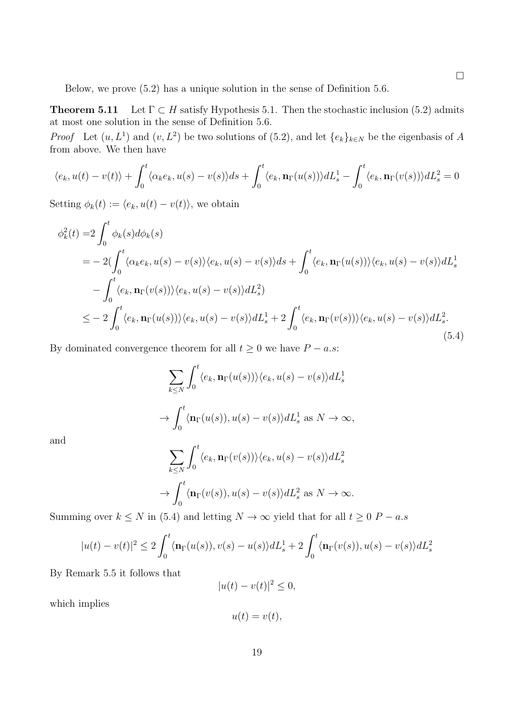Below, we prove (5.2) has a unique solution in the sense of Definition 5.6.

**Theorem 5.11** Let  $\Gamma \subset H$  satisfy Hypothesis 5.1. Then the stochastic inclusion (5.2) admits at most one solution in the sense of Definition 5.6.

*Proof* Let  $(u, L^1)$  and  $(v, L^2)$  be two solutions of (5.2), and let  $\{e_k\}_{k\in N}$  be the eigenbasis of *A* from above. We then have

$$
\langle e_k, u(t) - v(t) \rangle + \int_0^t \langle \alpha_k e_k, u(s) - v(s) \rangle ds + \int_0^t \langle e_k, \mathbf{n}_{\Gamma}(u(s)) \rangle dL_s^1 - \int_0^t \langle e_k, \mathbf{n}_{\Gamma}(v(s)) \rangle dL_s^2 = 0
$$

Setting  $\phi_k(t) := \langle e_k, u(t) - v(t) \rangle$ , we obtain

$$
\phi_k^2(t) = 2 \int_0^t \phi_k(s) d\phi_k(s)
$$
  
=  $-2(\int_0^t \langle \alpha_k e_k, u(s) - v(s) \rangle \langle e_k, u(s) - v(s) \rangle ds + \int_0^t \langle e_k, \mathbf{n}_{\Gamma}(u(s)) \rangle \langle e_k, u(s) - v(s) \rangle dL_s^1$   
 $- \int_0^t \langle e_k, \mathbf{n}_{\Gamma}(v(s)) \rangle \langle e_k, u(s) - v(s) \rangle dL_s^2$   
 $\le -2 \int_0^t \langle e_k, \mathbf{n}_{\Gamma}(u(s)) \rangle \langle e_k, u(s) - v(s) \rangle dL_s^1 + 2 \int_0^t \langle e_k, \mathbf{n}_{\Gamma}(v(s)) \rangle \langle e_k, u(s) - v(s) \rangle dL_s^2.$  (5.4)

By dominated convergence theorem for all  $t \geq 0$  we have  $P - a.s$ :

$$
\sum_{k \le N} \int_0^t \langle e_k, \mathbf{n}_{\Gamma}(u(s)) \rangle \langle e_k, u(s) - v(s) \rangle dL_s^1
$$
  

$$
\rightarrow \int_0^t \langle \mathbf{n}_{\Gamma}(u(s)), u(s) - v(s) \rangle dL_s^1 \text{ as } N \to \infty,
$$

and

$$
\sum_{k\leq N} \int_0^t \langle e_k, \mathbf{n}_{\Gamma}(v(s)) \rangle \langle e_k, u(s) - v(s) \rangle dL_s^2
$$
  

$$
\rightarrow \int_0^t \langle \mathbf{n}_{\Gamma}(v(s)), u(s) - v(s) \rangle dL_s^2 \text{ as } N \rightarrow \infty.
$$

Summing over  $k \leq N$  in (5.4) and letting  $N \to \infty$  yield that for all  $t \geq 0$  *P − a.s* 

$$
|u(t) - v(t)|^2 \le 2\int_0^t \langle \mathbf{n}_{\Gamma}(u(s)), v(s) - u(s) \rangle dL_s^1 + 2\int_0^t \langle \mathbf{n}_{\Gamma}(v(s)), u(s) - v(s) \rangle dL_s^2
$$

By Remark 5.5 it follows that

$$
|u(t) - v(t)|^2 \le 0,
$$

which implies

$$
u(t) = v(t),
$$

 $\Box$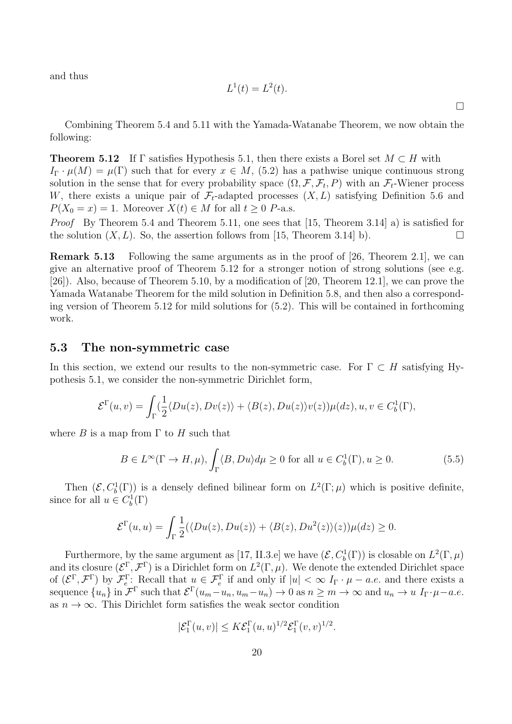and thus

$$
L^1(t) = L^2(t).
$$

 $\Box$ 

Combining Theorem 5.4 and 5.11 with the Yamada-Watanabe Theorem, we now obtain the following:

**Theorem 5.12** If  $\Gamma$  satisfies Hypothesis 5.1, then there exists a Borel set  $M \subset H$  with  $I_{\Gamma} \cdot \mu(M) = \mu(\Gamma)$  such that for every  $x \in M$ , (5.2) has a pathwise unique continuous strong solution in the sense that for every probability space  $(\Omega, \mathcal{F}, \mathcal{F}_t, P)$  with an  $\mathcal{F}_t$ -Wiener process *W*, there exists a unique pair of  $\mathcal{F}_t$ -adapted processes  $(X, L)$  satisfying Definition 5.6 and  $P(X_0 = x) = 1$ . Moreover  $X(t) \in M$  for all  $t \geq 0$  *P*-a.s.

*Proof* By Theorem 5.4 and Theorem 5.11, one sees that [15, Theorem 3.14] a) is satisfied for the solution  $(X, L)$ . So, the assertion follows from [15, Theorem 3.14] b).

**Remark 5.13** Following the same arguments as in the proof of [26, Theorem 2.1], we can give an alternative proof of Theorem 5.12 for a stronger notion of strong solutions (see e.g. [26]). Also, because of Theorem 5.10, by a modification of [20, Theorem 12.1], we can prove the Yamada Watanabe Theorem for the mild solution in Definition 5.8, and then also a corresponding version of Theorem 5.12 for mild solutions for (5.2). This will be contained in forthcoming work.

### **5.3 The non-symmetric case**

In this section, we extend our results to the non-symmetric case. For Γ *⊂ H* satisfying Hypothesis 5.1, we consider the non-symmetric Dirichlet form,

$$
\mathcal{E}^{\Gamma}(u,v) = \int_{\Gamma} \langle \frac{1}{2} \langle Du(z), Dv(z) \rangle + \langle B(z), Du(z) \rangle v(z) \rangle \mu(dz), u, v \in C_b^1(\Gamma),
$$

where  $B$  is a map from  $\Gamma$  to  $H$  such that

$$
B \in L^{\infty}(\Gamma \to H, \mu), \int_{\Gamma} \langle B, Du \rangle d\mu \ge 0 \text{ for all } u \in C_b^1(\Gamma), u \ge 0.
$$
 (5.5)

Then  $(\mathcal{E}, C_b^1(\Gamma))$  is a densely defined bilinear form on  $L^2(\Gamma;\mu)$  which is positive definite, since for all  $u \in C_b^1(\Gamma)$ 

$$
\mathcal{E}^{\Gamma}(u, u) = \int_{\Gamma} \frac{1}{2} (\langle Du(z), Du(z) \rangle + \langle B(z), Du^{2}(z) \rangle(z)) \mu(dz) \ge 0.
$$

Furthermore, by the same argument as [17, II.3.e] we have  $(\mathcal{E}, C_b^1(\Gamma))$  is closable on  $L^2(\Gamma,\mu)$ and its closure  $(\mathcal{E}^{\Gamma}, \mathcal{F}^{\Gamma})$  is a Dirichlet form on  $L^2(\Gamma, \mu)$ . We denote the extended Dirichlet space of  $(\mathcal{E}^{\Gamma}, \mathcal{F}^{\Gamma})$  by  $\mathcal{F}_e^{\Gamma}$ : Recall that  $u \in \mathcal{F}_e^{\Gamma}$  if and only if  $|u| < \infty$   $I_{\Gamma} \cdot \mu - a.e.$  and there exists a sequence  $\{u_n\}$  in  $\mathcal{F}^{\Gamma}$  such that  $\mathcal{E}^{\Gamma}(u_m - u_n, u_m - u_n) \to 0$  as  $n \geq m \to \infty$  and  $u_n \to u I_{\Gamma} \cdot \mu - a.e.$ as  $n \to \infty$ . This Dirichlet form satisfies the weak sector condition

$$
|\mathcal{E}_1^{\Gamma}(u,v)| \leq K \mathcal{E}_1^{\Gamma}(u,u)^{1/2} \mathcal{E}_1^{\Gamma}(v,v)^{1/2}.
$$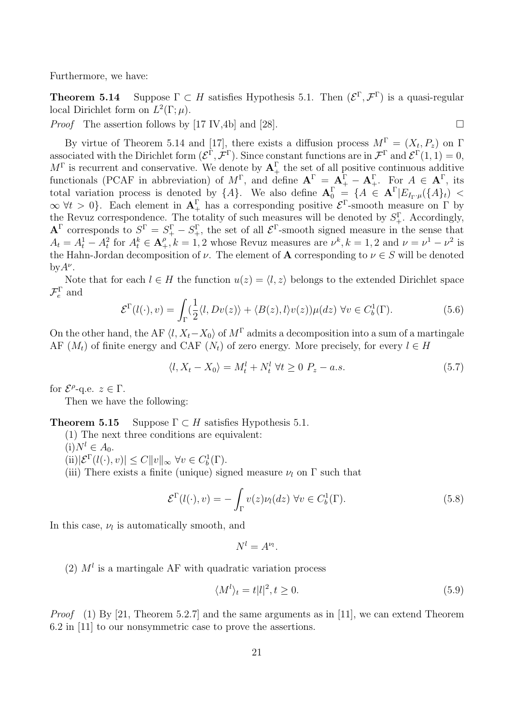Furthermore, we have:

**Theorem 5.14** Suppose  $\Gamma \subset H$  satisfies Hypothesis 5.1. Then  $(\mathcal{E}^{\Gamma}, \mathcal{F}^{\Gamma})$  is a quasi-regular local Dirichlet form on  $L^2(\Gamma;\mu)$ .

*Proof* The assertion follows by [17 IV,4b] and [28].

By virtue of Theorem 5.14 and [17], there exists a diffusion process  $M^{\Gamma} = (X_t, P_z)$  on  $\Gamma$ associated with the Dirichlet form  $(\mathcal{E}^{\Gamma}, \mathcal{F}^{\Gamma})$ . Since constant functions are in  $\mathcal{F}^{\Gamma}$  and  $\mathcal{E}^{\Gamma}(1, 1) = 0$ ,  $M^{\Gamma}$  is recurrent and conservative. We denote by  $A_{+}^{\Gamma}$  the set of all positive continuous additive functionals (PCAF in abbreviation) of  $M^{\Gamma}$ , and define  $\mathbf{A}^{\Gamma} = \mathbf{A}_{+}^{\Gamma} - \mathbf{A}_{+}^{\Gamma}$ . For  $A \in \mathbf{A}^{\Gamma}$ , its total variation process is denoted by  $\{A\}$ . We also define  $\mathbf{A}_0^{\Gamma} = \{A \in \mathbf{A}^{\Gamma} | E_{I_{\Gamma} \cdot \mu}(\{A\}_t)$  <  $\infty \forall t > 0$ . Each element in  $A_+^{\Gamma}$  has a corresponding positive  $\mathcal{E}^{\Gamma}$ -smooth measure on  $\Gamma$  by the Revuz correspondence. The totality of such measures will be denoted by  $S_{+}^{\Gamma}$ . Accordingly,  ${\bf A}^{\Gamma}$  corresponds to  $S^{\Gamma} = S^{\Gamma}_{+} - S^{\Gamma}_{+}$ , the set of all  ${\cal E}^{\Gamma}$ -smooth signed measure in the sense that  $A_t = A_t^1 - A_t^2$  for  $A_t^k \in \mathbf{A}_+^{\rho}$ ,  $k = 1, 2$  whose Revuz measures are  $\nu^k$ ,  $k = 1, 2$  and  $\nu = \nu^1 - \nu^2$  is the Hahn-Jordan decomposition of *ν*. The element of **A** corresponding to  $\nu \in S$  will be denoted by $A^{\nu}$ .

Note that for each  $l \in H$  the function  $u(z) = \langle l, z \rangle$  belongs to the extended Dirichlet space  $\mathcal{F}_e^{\Gamma}$  and

$$
\mathcal{E}^{\Gamma}(l(\cdot),v) = \int_{\Gamma} \left(\frac{1}{2}\langle l, Dv(z)\rangle + \langle B(z), l\rangle v(z)\right) \mu(dz) \,\,\forall v \in C_b^1(\Gamma). \tag{5.6}
$$

On the other hand, the AF  $\langle l, X_t - X_0 \rangle$  of  $M^{\Gamma}$  admits a decomposition into a sum of a martingale AF  $(M_t)$  of finite energy and CAF  $(N_t)$  of zero energy. More precisely, for every  $l \in H$ 

$$
\langle l, X_t - X_0 \rangle = M_t^l + N_t^l \,\,\forall t \ge 0 \,\, P_z - a.s. \tag{5.7}
$$

for  $\mathcal{E}^{\rho}$ -q.e.  $z \in \Gamma$ .

Then we have the following:

**Theorem 5.15** Suppose  $\Gamma \subset H$  satisfies Hypothesis 5.1.

(1) The next three conditions are equivalent:

 $(i)N^{l} \in A_{0}.$ 

 $(|\tilde{L}| \mathcal{E}^{\Gamma}(l(\cdot), v)| \leq C ||v||_{\infty} \ \forall v \in C_b^1(\Gamma).$ 

(iii) There exists a finite (unique) signed measure  $\nu_l$  on  $\Gamma$  such that

$$
\mathcal{E}^{\Gamma}(l(\cdot), v) = -\int_{\Gamma} v(z)\nu_l(dz) \,\forall v \in C_b^1(\Gamma). \tag{5.8}
$$

In this case,  $\nu_l$  is automatically smooth, and

$$
N^l = A^{\nu_l}
$$

*.*

(2)  $M<sup>l</sup>$  is a martingale AF with quadratic variation process

$$
\langle M^l \rangle_t = t|l|^2, t \ge 0. \tag{5.9}
$$

*Proof* (1) By [21, Theorem 5.2.7] and the same arguments as in [11], we can extend Theorem 6.2 in [11] to our nonsymmetric case to prove the assertions.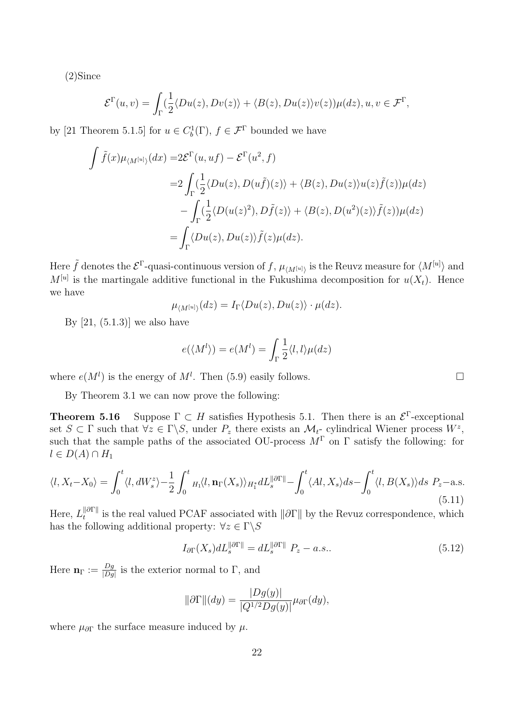(2)Since

$$
\mathcal{E}^{\Gamma}(u,v) = \int_{\Gamma} \left(\frac{1}{2} \langle Du(z), Dv(z) \rangle + \langle B(z), Du(z) \rangle v(z) \right) \mu(dz), u, v \in \mathcal{F}^{\Gamma},
$$

by [21 Theorem 5.1.5] for  $u \in C_b^1(\Gamma)$ ,  $f \in \mathcal{F}^{\Gamma}$  bounded we have

$$
\int \tilde{f}(x)\mu_{\langle M^{[u]}\rangle}(dx) = 2\mathcal{E}^{\Gamma}(u,uf) - \mathcal{E}^{\Gamma}(u^{2},f)
$$
  
\n
$$
= 2\int_{\Gamma} \left(\frac{1}{2}\langle Du(z), D(u\tilde{f})(z)\rangle + \langle B(z), Du(z)\rangle u(z)\tilde{f}(z)\rangle \mu(dz)\right)
$$
  
\n
$$
- \int_{\Gamma} \left(\frac{1}{2}\langle D(u(z)^{2}), D\tilde{f}(z)\rangle + \langle B(z), D(u^{2})(z)\rangle \tilde{f}(z)\rangle \mu(dz)\right)
$$
  
\n
$$
= \int_{\Gamma} \langle Du(z), Du(z)\rangle \tilde{f}(z)\mu(dz).
$$

Here  $\tilde{f}$  denotes the  $\mathcal{E}^{\Gamma}$ -quasi-continuous version of  $f$  ,  $\mu_{\langle M^{[u]}\rangle}$  is the Reuvz measure for  $\langle M^{[u]}\rangle$  and  $M^{[u]}$  is the martingale additive functional in the Fukushima decomposition for  $u(X_t)$ . Hence we have

$$
\mu_{\langle M^{[u]}\rangle}(dz) = I_{\Gamma} \langle Du(z), Du(z) \rangle \cdot \mu(dz).
$$

By  $[21, (5.1.3)]$  we also have

$$
e(\langle M^l \rangle) = e(M^l) = \int_{\Gamma} \frac{1}{2} \langle l, l \rangle \mu(dz)
$$

where  $e(M^l)$  is the energy of  $M^l$ . Then (5.9) easily follows.

By Theorem 3.1 we can now prove the following:

**Theorem 5.16** Suppose  $\Gamma \subset H$  satisfies Hypothesis 5.1. Then there is an  $\mathcal{E}^{\Gamma}$ -exceptional set  $S \subset \Gamma$  such that  $\forall z \in \Gamma \backslash S$ , under  $P_z$  there exists an  $\mathcal{M}_t$ - cylindrical Wiener process  $W^z$ , such that the sample paths of the associated OU-process  $M^{\Gamma}$  on Γ satisfy the following: for  $l ∈ D(A) ∩ H_1$ 

$$
\langle l, X_t - X_0 \rangle = \int_0^t \langle l, dW_s^z \rangle - \frac{1}{2} \int_0^t H_1 \langle l, \mathbf{n}_\Gamma(X_s) \rangle_{H_1^*} dL_s^{\|\partial \Gamma\|} - \int_0^t \langle Al, X_s \rangle ds - \int_0^t \langle l, B(X_s) \rangle ds \ P_z - \text{a.s.}
$$
\n
$$
(5.11)
$$

 $Here, L_t^{\parallel\partial\Gamma\parallel}$ *t*<sup>*n*</sup> is the real valued PCAF associated with  $\|\partial\Gamma\|$  by the Revuz correspondence, which has the following additional property:  $\forall z \in \Gamma \backslash S$ 

$$
I_{\partial\Gamma}(X_s)dL_s^{\|\partial\Gamma\|} = dL_s^{\|\partial\Gamma\|} P_z - a.s.. \tag{5.12}
$$

Here  $\mathbf{n}_{\Gamma} := \frac{Dg}{\Box Dg}$  $\frac{Dg}{|Dg|}$  is the exterior normal to Γ, and

$$
\|\partial\Gamma\|(dy) = \frac{|Dg(y)|}{|Q^{1/2}Dg(y)|}\mu_{\partial\Gamma}(dy),
$$

where  $\mu_{\partial\Gamma}$  the surface measure induced by  $\mu$ .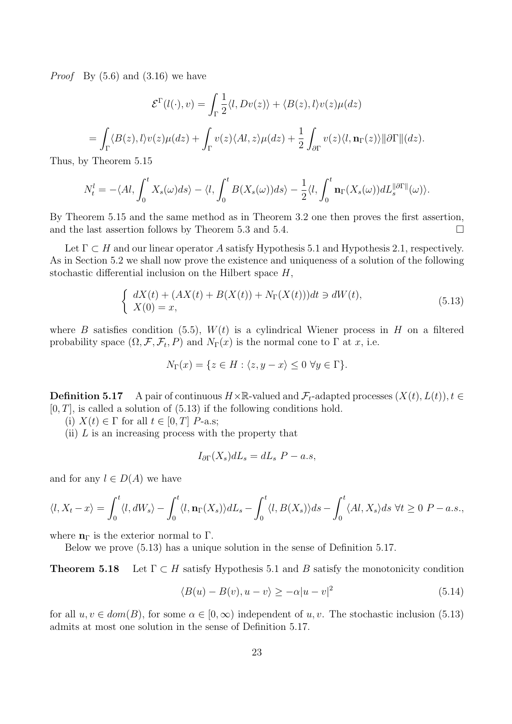*Proof* By (5.6) and (3.16) we have

$$
\mathcal{E}^{\Gamma}(l(\cdot),v) = \int_{\Gamma} \frac{1}{2} \langle l, Dv(z) \rangle + \langle B(z), l \rangle v(z) \mu(dz)
$$
  
= 
$$
\int_{\Gamma} \langle B(z), l \rangle v(z) \mu(dz) + \int_{\Gamma} v(z) \langle Al, z \rangle \mu(dz) + \frac{1}{2} \int_{\partial \Gamma} v(z) \langle l, \mathbf{n}_{\Gamma}(z) \rangle ||\partial \Gamma|| (dz).
$$

Thus, by Theorem 5.15

$$
N_t^l = -\langle Al, \int_0^t X_s(\omega) ds \rangle - \langle l, \int_0^t B(X_s(\omega)) ds \rangle - \frac{1}{2} \langle l, \int_0^t \mathbf{n}_{\Gamma}(X_s(\omega)) dL_s^{\|\partial \Gamma\|}(\omega) \rangle.
$$

By Theorem 5.15 and the same method as in Theorem 3.2 one then proves the first assertion, and the last assertion follows by Theorem 5.3 and 5.4.  $\Box$ 

Let  $\Gamma \subset H$  and our linear operator A satisfy Hypothesis 5.1 and Hypothesis 2.1, respectively. As in Section 5.2 we shall now prove the existence and uniqueness of a solution of the following stochastic differential inclusion on the Hilbert space *H*,

$$
\begin{cases}\n dX(t) + (AX(t) + B(X(t)) + N_{\Gamma}(X(t)))dt \ni dW(t), \\
 X(0) = x,\n\end{cases} (5.13)
$$

where *B* satisfies condition (5.5),  $W(t)$  is a cylindrical Wiener process in *H* on a filtered probability space  $(\Omega, \mathcal{F}, \mathcal{F}_t, P)$  and  $N_{\Gamma}(x)$  is the normal cone to  $\Gamma$  at  $x$ , i.e.

$$
N_{\Gamma}(x) = \{ z \in H : \langle z, y - x \rangle \le 0 \,\,\forall y \in \Gamma \}.
$$

**Definition 5.17** A pair of continuous  $H \times \mathbb{R}$ -valued and  $\mathcal{F}_t$ -adapted processes  $(X(t), L(t))$ ,  $t \in$  $[0, T]$ , is called a solution of  $(5.13)$  if the following conditions hold.

(i)  $X(t) \in \Gamma$  for all  $t \in [0, T]$  *P*-a.s;

(ii) *L* is an increasing process with the property that

$$
I_{\partial\Gamma}(X_s)dL_s = dL_s\ P - a.s,
$$

and for any  $l \in D(A)$  we have

$$
\langle l, X_t - x \rangle = \int_0^t \langle l, dW_s \rangle - \int_0^t \langle l, \mathbf{n}_{\Gamma}(X_s) \rangle dL_s - \int_0^t \langle l, B(X_s) \rangle ds - \int_0^t \langle Al, X_s \rangle ds \ \forall t \ge 0 \ P - a.s.,
$$

where  $n_{\Gamma}$  is the exterior normal to  $\Gamma$ .

Below we prove (5.13) has a unique solution in the sense of Definition 5.17.

**Theorem 5.18** Let  $\Gamma \subset H$  satisfy Hypothesis 5.1 and *B* satisfy the monotonicity condition

$$
\langle B(u) - B(v), u - v \rangle \ge -\alpha |u - v|^2 \tag{5.14}
$$

for all  $u, v \in dom(B)$ , for some  $\alpha \in [0, \infty)$  independent of  $u, v$ . The stochastic inclusion (5.13) admits at most one solution in the sense of Definition 5.17.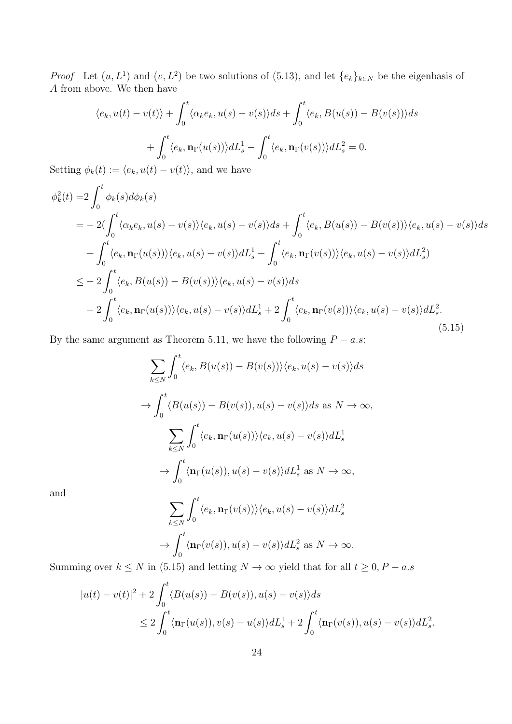*Proof* Let  $(u, L^1)$  and  $(v, L^2)$  be two solutions of (5.13), and let  $\{e_k\}_{k\in N}$  be the eigenbasis of *A* from above. We then have

$$
\langle e_k, u(t) - v(t) \rangle + \int_0^t \langle \alpha_k e_k, u(s) - v(s) \rangle ds + \int_0^t \langle e_k, B(u(s)) - B(v(s)) \rangle ds
$$

$$
+ \int_0^t \langle e_k, \mathbf{n}_{\Gamma}(u(s)) \rangle dL_s^1 - \int_0^t \langle e_k, \mathbf{n}_{\Gamma}(v(s)) \rangle dL_s^2 = 0.
$$

Setting  $\phi_k(t) := \langle e_k, u(t) - v(t) \rangle$ , and we have

$$
\phi_k^2(t) = 2 \int_0^t \phi_k(s) d\phi_k(s)
$$
  
=  $-2(\int_0^t \langle \alpha_k e_k, u(s) - v(s) \rangle \langle e_k, u(s) - v(s) \rangle ds + \int_0^t \langle e_k, B(u(s)) - B(v(s)) \rangle \langle e_k, u(s) - v(s) \rangle ds$   
+  $\int_0^t \langle e_k, \mathbf{n}_{\Gamma}(u(s)) \rangle \langle e_k, u(s) - v(s) \rangle dL_s^1 - \int_0^t \langle e_k, \mathbf{n}_{\Gamma}(v(s)) \rangle \langle e_k, u(s) - v(s) \rangle dL_s^2)$   
 $\le -2 \int_0^t \langle e_k, B(u(s)) - B(v(s)) \rangle \langle e_k, u(s) - v(s) \rangle ds$   
 $-2 \int_0^t \langle e_k, \mathbf{n}_{\Gamma}(u(s)) \rangle \langle e_k, u(s) - v(s) \rangle dL_s^1 + 2 \int_0^t \langle e_k, \mathbf{n}_{\Gamma}(v(s)) \rangle \langle e_k, u(s) - v(s) \rangle dL_s^2.$  (5.15)

By the same argument as Theorem 5.11, we have the following  $P - a.s$ :

$$
\sum_{k\leq N} \int_0^t \langle e_k, B(u(s)) - B(v(s)) \rangle \langle e_k, u(s) - v(s) \rangle ds
$$
  
\n
$$
\rightarrow \int_0^t \langle B(u(s)) - B(v(s)), u(s) - v(s) \rangle ds \text{ as } N \to \infty,
$$
  
\n
$$
\sum_{k\leq N} \int_0^t \langle e_k, \mathbf{n}_{\Gamma}(u(s)) \rangle \langle e_k, u(s) - v(s) \rangle dL_s^1
$$
  
\n
$$
\rightarrow \int_0^t \langle \mathbf{n}_{\Gamma}(u(s)), u(s) - v(s) \rangle dL_s^1 \text{ as } N \to \infty,
$$

and

$$
\sum_{k \le N} \int_0^t \langle e_k, \mathbf{n}_{\Gamma}(v(s)) \rangle \langle e_k, u(s) - v(s) \rangle dL_s^2
$$
  

$$
\rightarrow \int_0^t \langle \mathbf{n}_{\Gamma}(v(s)), u(s) - v(s) \rangle dL_s^2 \text{ as } N \rightarrow \infty.
$$

Summing over  $k \leq N$  in (5.15) and letting  $N \to \infty$  yield that for all  $t \geq 0, P - a.s$ 

$$
|u(t) - v(t)|^2 + 2\int_0^t \langle B(u(s)) - B(v(s)), u(s) - v(s) \rangle ds
$$
  
\n
$$
\leq 2\int_0^t \langle \mathbf{n}_{\Gamma}(u(s)), v(s) - u(s) \rangle dL_s^1 + 2\int_0^t \langle \mathbf{n}_{\Gamma}(v(s)), u(s) - v(s) \rangle dL_s^2.
$$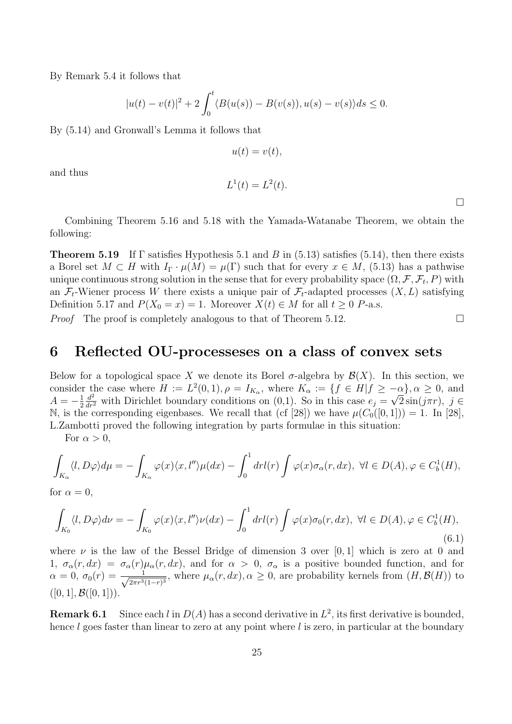By Remark 5.4 it follows that

$$
|u(t) - v(t)|^{2} + 2 \int_{0}^{t} \langle B(u(s)) - B(v(s)), u(s) - v(s) \rangle ds \le 0.
$$

By (5.14) and Gronwall's Lemma it follows that

 $u(t) = v(t)$ ,

and thus

$$
L^1(t) = L^2(t).
$$

Combining Theorem 5.16 and 5.18 with the Yamada-Watanabe Theorem, we obtain the following:

**Theorem 5.19** If Γ satisfies Hypothesis 5.1 and *B* in (5.13) satisfies (5.14), then there exists a Borel set  $M \subset H$  with  $I_{\Gamma} \cdot \mu(M) = \mu(\Gamma)$  such that for every  $x \in M$ , (5.13) has a pathwise unique continuous strong solution in the sense that for every probability space  $(\Omega, \mathcal{F}, \mathcal{F}_t, P)$  with an  $\mathcal{F}_t$ -Wiener process W there exists a unique pair of  $\mathcal{F}_t$ -adapted processes  $(X, L)$  satisfying Definition 5.17 and  $P(X_0 = x) = 1$ . Moreover  $X(t) \in M$  for all  $t \geq 0$  *P*-a.s.

*Proof* The proof is completely analogous to that of Theorem 5.12.

### **6 Reflected OU-processeses on a class of convex sets**

Below for a topological space X we denote its Borel  $\sigma$ -algebra by  $\mathcal{B}(X)$ . In this section, we consider the case where  $H := L^2(0,1), \rho = I_{K_\alpha}$ , where  $K_\alpha := \{f \in H | f \ge -\alpha\}, \alpha \ge 0$ , and  $A = -\frac{1}{2}$ 2  $\frac{d^2}{dr^2}$  with Dirichlet boundary conditions on (0,1). So in this case  $e_j = \sqrt{2} \sin(j\pi r)$ ,  $j \in$ N, is the corresponding eigenbases. We recall that (cf [28]) we have  $\mu(C_0([0,1])) = 1$ . In [28], L.Zambotti proved the following integration by parts formulae in this situation:

For  $\alpha > 0$ ,

$$
\int_{K_{\alpha}} \langle l, D\varphi \rangle d\mu = -\int_{K_{\alpha}} \varphi(x) \langle x, l'' \rangle \mu(dx) - \int_0^1 dr l(r) \int \varphi(x) \sigma_{\alpha}(r, dx), \ \forall l \in D(A), \varphi \in C_b^1(H),
$$

for  $\alpha = 0$ ,

$$
\int_{K_0} \langle l, D\varphi \rangle d\nu = -\int_{K_0} \varphi(x) \langle x, l'' \rangle \nu(dx) - \int_0^1 dr l(r) \int \varphi(x) \sigma_0(r, dx), \ \forall l \in D(A), \varphi \in C_b^1(H),
$$
\n(6.1)

where  $\nu$  is the law of the Bessel Bridge of dimension 3 over [0,1] which is zero at 0 and 1,  $\sigma_{\alpha}(r, dx) = \sigma_{\alpha}(r)\mu_{\alpha}(r, dx)$ , and for  $\alpha > 0$ ,  $\sigma_{\alpha}$  is a positive bounded function, and for  $\alpha = 0, \ \sigma_0(r) = \frac{1}{\sqrt{2\pi r^3}}$  $\frac{1}{2\pi r^3(1-r)^3}$ , where  $\mu_\alpha(r, dx), \alpha \geq 0$ , are probability kernels from  $(H, \mathcal{B}(H))$  to  $([0, 1], \mathcal{B}([0, 1]))$ .

**Remark 6.1** Since each *l* in  $D(A)$  has a second derivative in  $L^2$ , its first derivative is bounded, hence *l* goes faster than linear to zero at any point where *l* is zero, in particular at the boundary

 $\Box$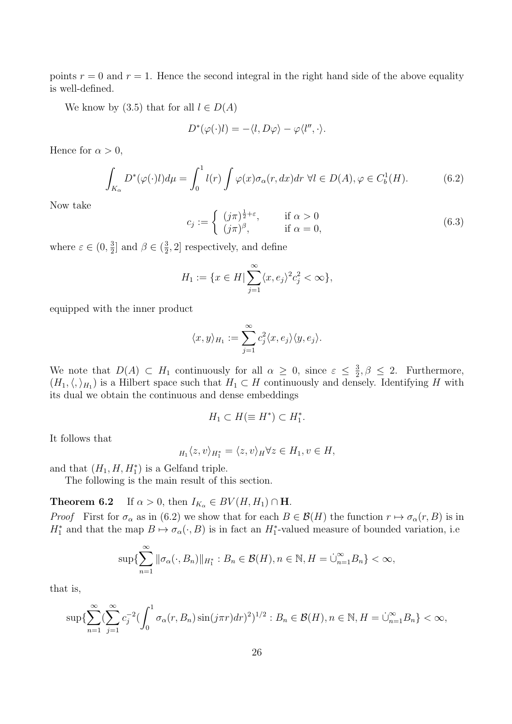points  $r = 0$  and  $r = 1$ . Hence the second integral in the right hand side of the above equality is well-defined.

We know by (3.5) that for all  $l \in D(A)$ 

$$
D^*(\varphi(\cdot)l) = -\langle l, D\varphi \rangle - \varphi \langle l'', \cdot \rangle.
$$

Hence for  $\alpha > 0$ ,

$$
\int_{K_{\alpha}} D^*(\varphi(\cdot)l) d\mu = \int_0^1 l(r) \int \varphi(x) \sigma_{\alpha}(r, dx) dr \,\forall l \in D(A), \varphi \in C_b^1(H). \tag{6.2}
$$

Now take

$$
c_j := \begin{cases} (j\pi)^{\frac{1}{2}+\varepsilon}, & \text{if } \alpha > 0\\ (j\pi)^{\beta}, & \text{if } \alpha = 0, \end{cases}
$$
 (6.3)

where  $\varepsilon \in (0, \frac{3}{2})$  $\frac{3}{2}$ ] and  $\beta \in (\frac{3}{2})$  $\frac{3}{2}$ , 2] respectively, and define

$$
H_1 := \{ x \in H \mid \sum_{j=1}^{\infty} \langle x, e_j \rangle^2 c_j^2 < \infty \},
$$

equipped with the inner product

$$
\langle x, y \rangle_{H_1} := \sum_{j=1}^{\infty} c_j^2 \langle x, e_j \rangle \langle y, e_j \rangle.
$$

We note that  $D(A) \subset H_1$  continuously for all  $\alpha \geq 0$ , since  $\varepsilon \leq \frac{3}{2}$  $\frac{3}{2}, \beta \leq 2$ . Furthermore,  $(H_1, \langle, \rangle_{H_1})$  is a Hilbert space such that  $H_1 \subset H$  continuously and densely. Identifying *H* with its dual we obtain the continuous and dense embeddings

$$
H_1 \subset H(\equiv H^*) \subset H_1^*.
$$

It follows that

$$
H_1 \langle z, v \rangle_{H_1^*} = \langle z, v \rangle_H \forall z \in H_1, v \in H,
$$

and that  $(H_1, H, H_1^*)$  is a Gelfand triple.

The following is the main result of this section.

**Theorem 6.2** If  $\alpha > 0$ , then  $I_{K_{\alpha}} \in BV(H, H_1) \cap \mathbf{H}$ .

*Proof* First for  $\sigma_{\alpha}$  as in (6.2) we show that for each  $B \in \mathcal{B}(H)$  the function  $r \mapsto \sigma_{\alpha}(r, B)$  is in  $H_1^*$  and that the map  $B \mapsto \sigma_\alpha(\cdot, B)$  is in fact an  $H_1^*$ -valued measure of bounded variation, i.e.

$$
\sup \{ \sum_{n=1}^{\infty} \|\sigma_{\alpha}(\cdot, B_n)\|_{H_1^*} : B_n \in \mathcal{B}(H), n \in \mathbb{N}, H = \dot{\cup}_{n=1}^{\infty} B_n \} < \infty,
$$

that is,

$$
\sup \{ \sum_{n=1}^{\infty} \left( \sum_{j=1}^{\infty} c_j^{-2} \left( \int_0^1 \sigma_\alpha(r, B_n) \sin(j\pi r) dr \right)^2 \right)^{1/2} : B_n \in \mathcal{B}(H), n \in \mathbb{N}, H = \dot{\cup}_{n=1}^{\infty} B_n \} < \infty,
$$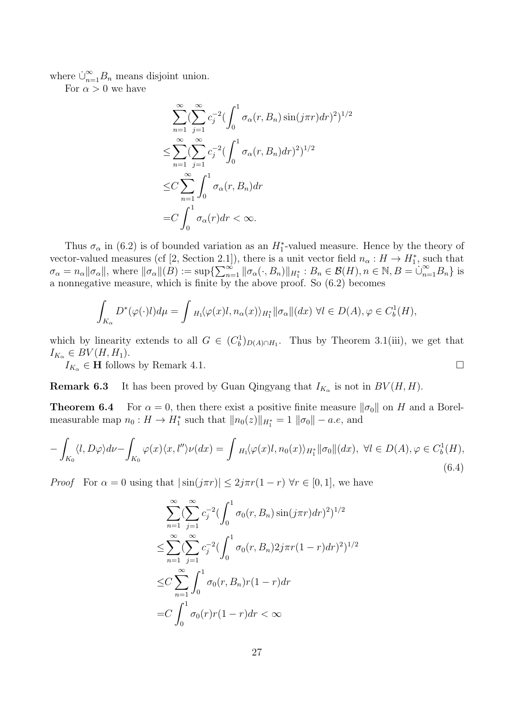where  $\dot{\cup}_{n=1}^{\infty} B_n$  means disjoint union.

For  $\alpha > 0$  we have

$$
\sum_{n=1}^{\infty} \left(\sum_{j=1}^{\infty} c_j^{-2} \left(\int_0^1 \sigma_\alpha(r, B_n) \sin(j\pi r) dr\right)^2\right)^{1/2}
$$
  
\n
$$
\leq \sum_{n=1}^{\infty} \left(\sum_{j=1}^{\infty} c_j^{-2} \left(\int_0^1 \sigma_\alpha(r, B_n) dr\right)^2\right)^{1/2}
$$
  
\n
$$
\leq C \sum_{n=1}^{\infty} \int_0^1 \sigma_\alpha(r, B_n) dr
$$
  
\n
$$
= C \int_0^1 \sigma_\alpha(r) dr < \infty.
$$

Thus  $\sigma_{\alpha}$  in (6.2) is of bounded variation as an  $H_1^*$ -valued measure. Hence by the theory of vector-valued measures (cf [2, Section 2.1]), there is a unit vector field  $n_{\alpha}: H \to H_1^*$ , such that  $\sigma_{\alpha} = n_{\alpha} || \sigma_{\alpha} ||$ , where  $|| \sigma_{\alpha} ||(B) := \sup \{ \sum_{n=1}^{\infty} || \sigma_{\alpha} (\cdot, B_n) ||_{H_1^*} : B_n \in \mathcal{B}(H), n \in \mathbb{N}, B = \bigcup_{n=1}^{\infty} B_n \}$  is a nonnegative measure, which is finite by the above proof. So (6.2) becomes

$$
\int_{K_{\alpha}} D^*(\varphi(\cdot)l) d\mu = \int_{H_1} \langle \varphi(x)l, n_{\alpha}(x) \rangle_{H_1^*} ||\sigma_{\alpha}||(dx) \ \forall l \in D(A), \varphi \in C_b^1(H),
$$

which by linearity extends to all  $G \in (C_b^1)_{D(A) \cap H_1}$ . Thus by Theorem 3.1(iii), we get that  $I_{K_{\alpha}} \in BV(H, H_1)$ .

 $I_{K_{\alpha}} \in \mathbf{H}$  follows by Remark 4.1.

**Remark 6.3** It has been proved by Guan Qingyang that  $I_{K_\alpha}$  is not in  $BV(H, H)$ .

**Theorem 6.4** For  $\alpha = 0$ , then there exist a positive finite measure  $\|\sigma_0\|$  on *H* and a Borelmeasurable map  $n_0: H \to H_1^*$  such that  $||n_0(z)||_{H_1^*} = 1 ||\sigma_0|| - a.e$ , and

$$
-\int_{K_0} \langle l, D\varphi \rangle d\nu - \int_{K_0} \varphi(x) \langle x, l'' \rangle \nu(dx) = \int_{H_1} \langle \varphi(x)l, n_0(x) \rangle_{H_1^*} ||\sigma_0||(dx), \ \forall l \in D(A), \varphi \in C_b^1(H),
$$
\n(6.4)

*Proof* For  $\alpha = 0$  using that  $|\sin(j\pi r)| \leq 2j\pi r(1 - r)$   $\forall r \in [0, 1]$ , we have

$$
\sum_{n=1}^{\infty} \left( \sum_{j=1}^{\infty} c_j^{-2} \left( \int_0^1 \sigma_0(r, B_n) \sin(j\pi r) dr \right)^2 \right)^{1/2}
$$
  
\n
$$
\leq \sum_{n=1}^{\infty} \left( \sum_{j=1}^{\infty} c_j^{-2} \left( \int_0^1 \sigma_0(r, B_n) 2j\pi r (1-r) dr \right)^2 \right)^{1/2}
$$
  
\n
$$
\leq C \sum_{n=1}^{\infty} \int_0^1 \sigma_0(r, B_n) r (1-r) dr
$$
  
\n
$$
= C \int_0^1 \sigma_0(r) r (1-r) dr < \infty
$$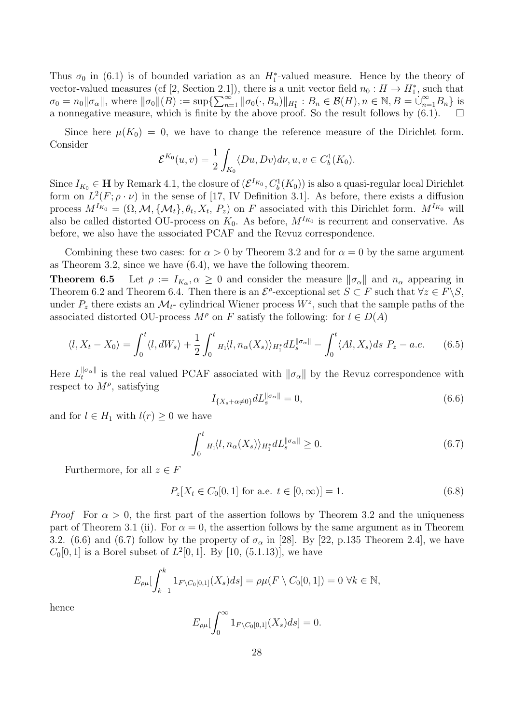Thus  $\sigma_0$  in (6.1) is of bounded variation as an  $H_1^*$ -valued measure. Hence by the theory of vector-valued measures (cf [2, Section 2.1]), there is a unit vector field  $n_0: H \to H_1^*$ , such that  $\sigma_0 = n_0 ||\sigma_\alpha||$ , where  $||\sigma_0||(B) := \sup \{ \sum_{n=1}^{\infty} ||\sigma_0(\cdot, B_n)||_{H_1^*} : B_n \in \mathcal{B}(H), n \in \mathbb{N}, B = \bigcup_{n=1}^{\infty} B_n \}$  is a nonnegative measure, which is finite by the above proof. So the result follows by (6.1).

Since here  $\mu(K_0) = 0$ , we have to change the reference measure of the Dirichlet form. Consider

$$
\mathcal{E}^{K_0}(u,v) = \frac{1}{2} \int_{K_0} \langle Du, Dv \rangle d\nu, u, v \in C_b^1(K_0).
$$

Since  $I_{K_0} \in \mathbf{H}$  by Remark 4.1, the closure of  $(\mathcal{E}^{I_{K_0}}, C_b^1(K_0))$  is also a quasi-regular local Dirichlet form on  $L^2(F; \rho \cdot \nu)$  in the sense of [17, IV Definition 3.1]. As before, there exists a diffusion process  $M^{I_{K_0}} = (\Omega, \mathcal{M}, \{\mathcal{M}_t\}, \theta_t, X_t, P_z)$  on F associated with this Dirichlet form.  $M^{I_{K_0}}$  will also be called distorted OU-process on  $K_0$ . As before,  $M^{I_{K_0}}$  is recurrent and conservative. As before, we also have the associated PCAF and the Revuz correspondence.

Combining these two cases: for  $\alpha > 0$  by Theorem 3.2 and for  $\alpha = 0$  by the same argument as Theorem 3.2, since we have (6.4), we have the following theorem.

**Theorem 6.5** Let  $\rho := I_{K_\alpha}, \alpha \geq 0$  and consider the measure  $\|\sigma_\alpha\|$  and  $n_\alpha$  appearing in Theorem 6.2 and Theorem 6.4. Then there is an  $\mathcal{E}^{\rho}$ -exceptional set  $S \subset F$  such that  $\forall z \in F \backslash S$ , under  $P_z$  there exists an  $\mathcal{M}_t$ - cylindrical Wiener process  $W^z$ , such that the sample paths of the associated distorted OU-process  $M^{\rho}$  on *F* satisfy the following: for  $l \in D(A)$ 

$$
\langle l, X_t - X_0 \rangle = \int_0^t \langle l, dW_s \rangle + \frac{1}{2} \int_0^t H_1 \langle l, n_\alpha(X_s) \rangle_{H_1^*} dL_s^{\|\sigma_\alpha\|} - \int_0^t \langle Al, X_s \rangle ds \ P_z - a.e. \tag{6.5}
$$

Here  $L_t^{\|\sigma_\alpha\|}$  $\int_t^{\pi} e^{u}$  is the real valued PCAF associated with  $\|\sigma_\alpha\|$  by the Revuz correspondence with respect to  $M^{\rho}$ , satisfying

$$
I_{\{X_s+\alpha\neq 0\}} dL_s^{\|\sigma_\alpha\|} = 0,\tag{6.6}
$$

and for  $l \in H_1$  with  $l(r) \geq 0$  we have

$$
\int_0^t H_1\langle l, n_\alpha(X_s) \rangle_{H_1^*} dL_s^{\|\sigma_\alpha\|} \ge 0. \tag{6.7}
$$

Furthermore, for all  $z \in F$ 

$$
P_z[X_t \in C_0[0,1] \text{ for a.e. } t \in [0,\infty)] = 1. \tag{6.8}
$$

*Proof* For  $\alpha > 0$ , the first part of the assertion follows by Theorem 3.2 and the uniqueness part of Theorem 3.1 (ii). For  $\alpha = 0$ , the assertion follows by the same argument as in Theorem 3.2. (6.6) and (6.7) follow by the property of  $\sigma_{\alpha}$  in [28]. By [22, p.135 Theorem 2.4], we have  $C_0[0,1]$  is a Borel subset of  $L^2[0,1]$ . By  $[10, (5.1.13)]$ , we have

$$
E_{\rho\mu}[\int_{k-1}^{k} 1_{F\setminus C_0[0,1]}(X_s)ds] = \rho\mu(F\setminus C_0[0,1]) = 0 \,\,\forall k \in \mathbb{N},
$$

hence

$$
E_{\rho\mu}[\int_0^\infty 1_{F\setminus C_0[0,1]}(X_s)ds]=0.
$$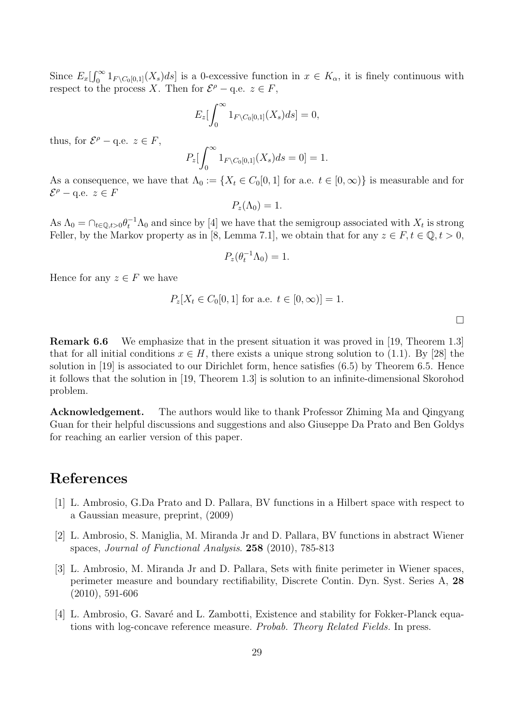Since  $E_x \left[ \int_0^\infty 1_{F \setminus C_0[0,1]}(X_s) ds \right]$  is a 0-excessive function in  $x \in K_\alpha$ , it is finely continuous with respect to the process *X*. Then for  $\mathcal{E}^{\rho} - q.e.$   $z \in F$ ,

$$
E_z\left[\int_0^\infty 1_{F\setminus C_0[0,1]}(X_s)ds\right]=0,
$$

thus, for  $\mathcal{E}^{\rho} - q.e.$   $z \in F$ ,

$$
P_z\left[\int_0^\infty 1_{F\backslash C_0[0,1]}(X_s)ds=0\right]=1.
$$

As a consequence, we have that  $\Lambda_0 := \{X_t \in C_0[0,1] \text{ for a.e. } t \in [0,\infty)\}\$ is measurable and for  $\mathcal{E}^{\rho}$  *−* q.e.  $z \in F$ 

$$
P_z(\Lambda_0)=1.
$$

As  $\Lambda_0 = \cap_{t \in \mathbb{Q}, t > 0} \theta_t^{-1} \Lambda_0$  and since by [4] we have that the semigroup associated with  $X_t$  is strong Feller, by the Markov property as in [8, Lemma 7.1], we obtain that for any  $z \in F$ ,  $t \in \mathbb{Q}$ ,  $t > 0$ ,

$$
P_z(\theta_t^{-1} \Lambda_0) = 1
$$

Hence for any  $z \in F$  we have

$$
P_z[X_t \in C_0[0,1] \text{ for a.e. } t \in [0,\infty)] = 1.
$$

**Remark 6.6** We emphasize that in the present situation it was proved in [19, Theorem 1.3] that for all initial conditions  $x \in H$ , there exists a unique strong solution to (1.1). By [28] the solution in [19] is associated to our Dirichlet form, hence satisfies (6.5) by Theorem 6.5. Hence it follows that the solution in [19, Theorem 1.3] is solution to an infinite-dimensional Skorohod problem.

**Acknowledgement.** The authors would like to thank Professor Zhiming Ma and Qingyang Guan for their helpful discussions and suggestions and also Giuseppe Da Prato and Ben Goldys for reaching an earlier version of this paper.

# **References**

- [1] L. Ambrosio, G.Da Prato and D. Pallara, BV functions in a Hilbert space with respect to a Gaussian measure, preprint, (2009)
- [2] L. Ambrosio, S. Maniglia, M. Miranda Jr and D. Pallara, BV functions in abstract Wiener spaces, *Journal of Functional Analysis*. **258** (2010), 785-813
- [3] L. Ambrosio, M. Miranda Jr and D. Pallara, Sets with finite perimeter in Wiener spaces, perimeter measure and boundary rectifiability, Discrete Contin. Dyn. Syst. Series A, **28** (2010), 591-606
- [4] L. Ambrosio, G. Savaré and L. Zambotti, Existence and stability for Fokker-Planck equations with log-concave reference measure. *Probab. Theory Related Fields.* In press.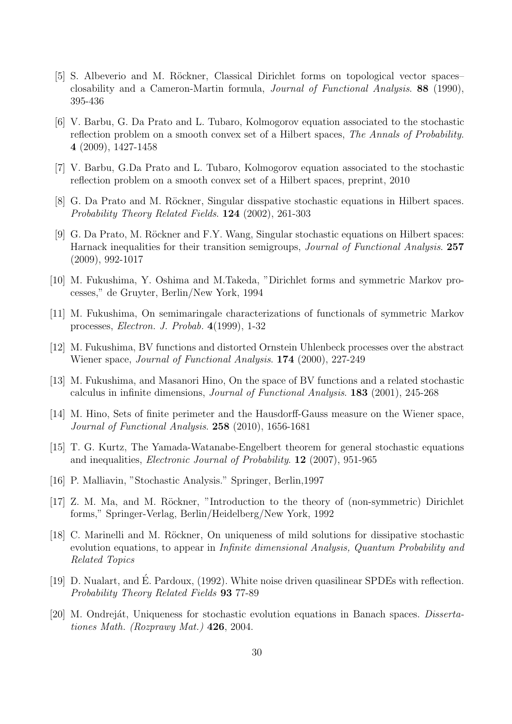- [5] S. Albeverio and M. Röckner, Classical Dirichlet forms on topological vector spaces– closability and a Cameron-Martin formula, *Journal of Functional Analysis*. **88** (1990), 395-436
- [6] V. Barbu, G. Da Prato and L. Tubaro, Kolmogorov equation associated to the stochastic reflection problem on a smooth convex set of a Hilbert spaces, *The Annals of Probability*. **4** (2009), 1427-1458
- [7] V. Barbu, G.Da Prato and L. Tubaro, Kolmogorov equation associated to the stochastic reflection problem on a smooth convex set of a Hilbert spaces, preprint, 2010
- [8] G. Da Prato and M. Röckner, Singular disspative stochastic equations in Hilbert spaces. *Probability Theory Related Fields*. **124** (2002), 261-303
- [9] G. Da Prato, M. Röckner and F.Y. Wang, Singular stochastic equations on Hilbert spaces: Harnack inequalities for their transition semigroups, *Journal of Functional Analysis*. **257** (2009), 992-1017
- [10] M. Fukushima, Y. Oshima and M.Takeda, "Dirichlet forms and symmetric Markov processes," de Gruyter, Berlin/New York, 1994
- [11] M. Fukushima, On semimaringale characterizations of functionals of symmetric Markov processes, *Electron. J. Probab.* **4**(1999), 1-32
- [12] M. Fukushima, BV functions and distorted Ornstein Uhlenbeck processes over the abstract Wiener space, *Journal of Functional Analysis*. **174** (2000), 227-249
- [13] M. Fukushima, and Masanori Hino, On the space of BV functions and a related stochastic calculus in infinite dimensions, *Journal of Functional Analysis*. **183** (2001), 245-268
- [14] M. Hino, Sets of finite perimeter and the Hausdorff-Gauss measure on the Wiener space, *Journal of Functional Analysis*. **258** (2010), 1656-1681
- [15] T. G. Kurtz, The Yamada-Watanabe-Engelbert theorem for general stochastic equations and inequalities, *Electronic Journal of Probability*. **12** (2007), 951-965
- [16] P. Malliavin, "Stochastic Analysis." Springer, Berlin,1997
- [17] Z. M. Ma, and M. Röckner, "Introduction to the theory of (non-symmetric) Dirichlet forms," Springer-Verlag, Berlin/Heidelberg/New York, 1992
- [18] C. Marinelli and M. Röckner, On uniqueness of mild solutions for dissipative stochastic evolution equations, to appear in *Infinite dimensional Analysis, Quantum Probability and Related Topics*
- [19] D. Nualart, and E. Pardoux, (1992). White noise driven quasilinear SPDEs with reflection. ´ *Probability Theory Related Fields* **93** 77-89
- [20] M. Ondreját, Uniqueness for stochastic evolution equations in Banach spaces. *Dissertationes Math. (Rozprawy Mat.)* **426**, 2004.